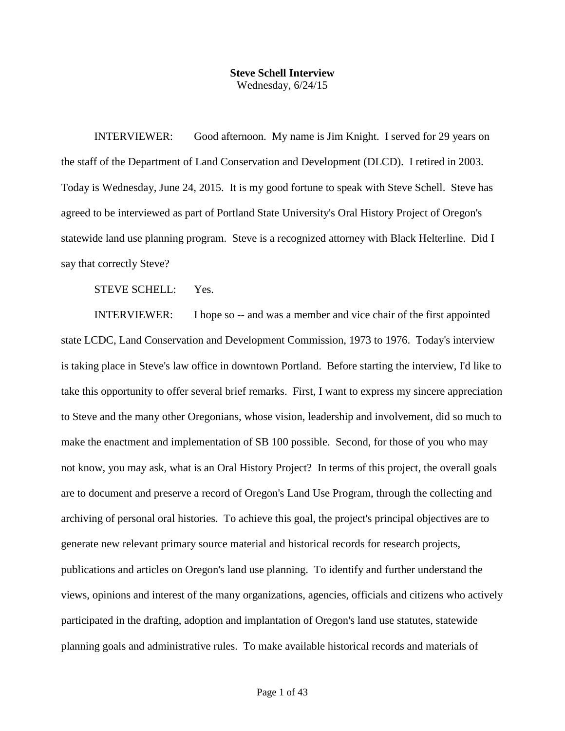## **Steve Schell Interview** Wednesday, 6/24/15

INTERVIEWER: Good afternoon. My name is Jim Knight. I served for 29 years on the staff of the Department of Land Conservation and Development (DLCD). I retired in 2003. Today is Wednesday, June 24, 2015. It is my good fortune to speak with Steve Schell. Steve has agreed to be interviewed as part of Portland State University's Oral History Project of Oregon's statewide land use planning program. Steve is a recognized attorney with Black Helterline. Did I say that correctly Steve?

STEVE SCHELL: Yes.

INTERVIEWER: I hope so -- and was a member and vice chair of the first appointed state LCDC, Land Conservation and Development Commission, 1973 to 1976. Today's interview is taking place in Steve's law office in downtown Portland. Before starting the interview, I'd like to take this opportunity to offer several brief remarks. First, I want to express my sincere appreciation to Steve and the many other Oregonians, whose vision, leadership and involvement, did so much to make the enactment and implementation of SB 100 possible. Second, for those of you who may not know, you may ask, what is an Oral History Project? In terms of this project, the overall goals are to document and preserve a record of Oregon's Land Use Program, through the collecting and archiving of personal oral histories. To achieve this goal, the project's principal objectives are to generate new relevant primary source material and historical records for research projects, publications and articles on Oregon's land use planning. To identify and further understand the views, opinions and interest of the many organizations, agencies, officials and citizens who actively participated in the drafting, adoption and implantation of Oregon's land use statutes, statewide planning goals and administrative rules. To make available historical records and materials of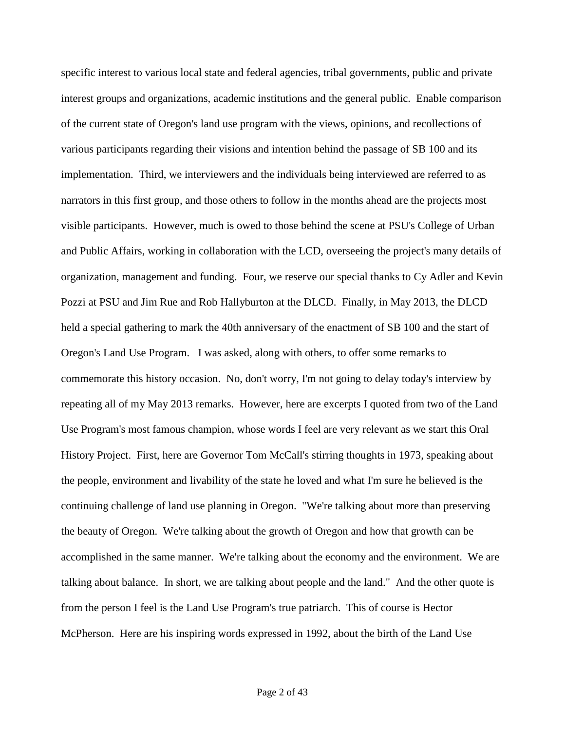specific interest to various local state and federal agencies, tribal governments, public and private interest groups and organizations, academic institutions and the general public. Enable comparison of the current state of Oregon's land use program with the views, opinions, and recollections of various participants regarding their visions and intention behind the passage of SB 100 and its implementation. Third, we interviewers and the individuals being interviewed are referred to as narrators in this first group, and those others to follow in the months ahead are the projects most visible participants. However, much is owed to those behind the scene at PSU's College of Urban and Public Affairs, working in collaboration with the LCD, overseeing the project's many details of organization, management and funding. Four, we reserve our special thanks to Cy Adler and Kevin Pozzi at PSU and Jim Rue and Rob Hallyburton at the DLCD. Finally, in May 2013, the DLCD held a special gathering to mark the 40th anniversary of the enactment of SB 100 and the start of Oregon's Land Use Program. I was asked, along with others, to offer some remarks to commemorate this history occasion. No, don't worry, I'm not going to delay today's interview by repeating all of my May 2013 remarks. However, here are excerpts I quoted from two of the Land Use Program's most famous champion, whose words I feel are very relevant as we start this Oral History Project. First, here are Governor Tom McCall's stirring thoughts in 1973, speaking about the people, environment and livability of the state he loved and what I'm sure he believed is the continuing challenge of land use planning in Oregon. "We're talking about more than preserving the beauty of Oregon. We're talking about the growth of Oregon and how that growth can be accomplished in the same manner. We're talking about the economy and the environment. We are talking about balance. In short, we are talking about people and the land." And the other quote is from the person I feel is the Land Use Program's true patriarch. This of course is Hector McPherson. Here are his inspiring words expressed in 1992, about the birth of the Land Use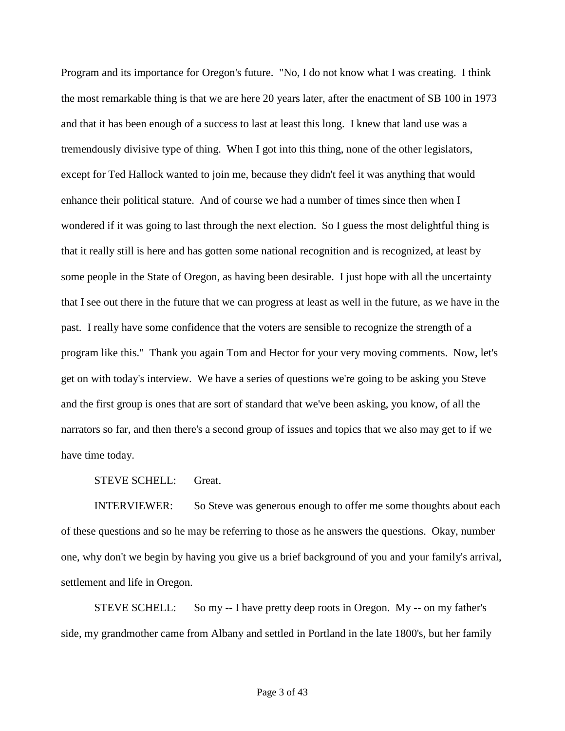Program and its importance for Oregon's future. "No, I do not know what I was creating. I think the most remarkable thing is that we are here 20 years later, after the enactment of SB 100 in 1973 and that it has been enough of a success to last at least this long. I knew that land use was a tremendously divisive type of thing. When I got into this thing, none of the other legislators, except for Ted Hallock wanted to join me, because they didn't feel it was anything that would enhance their political stature. And of course we had a number of times since then when I wondered if it was going to last through the next election. So I guess the most delightful thing is that it really still is here and has gotten some national recognition and is recognized, at least by some people in the State of Oregon, as having been desirable. I just hope with all the uncertainty that I see out there in the future that we can progress at least as well in the future, as we have in the past. I really have some confidence that the voters are sensible to recognize the strength of a program like this." Thank you again Tom and Hector for your very moving comments. Now, let's get on with today's interview. We have a series of questions we're going to be asking you Steve and the first group is ones that are sort of standard that we've been asking, you know, of all the narrators so far, and then there's a second group of issues and topics that we also may get to if we have time today.

STEVE SCHELL: Great.

INTERVIEWER: So Steve was generous enough to offer me some thoughts about each of these questions and so he may be referring to those as he answers the questions. Okay, number one, why don't we begin by having you give us a brief background of you and your family's arrival, settlement and life in Oregon.

STEVE SCHELL: So my -- I have pretty deep roots in Oregon. My -- on my father's side, my grandmother came from Albany and settled in Portland in the late 1800's, but her family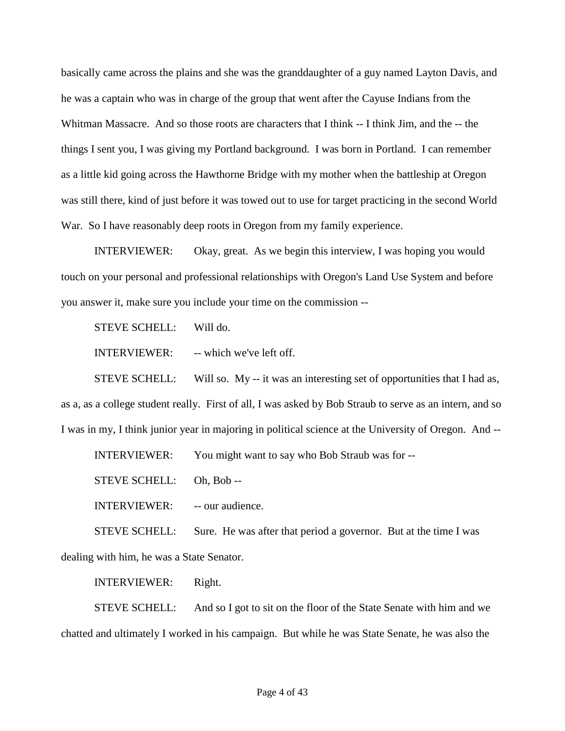basically came across the plains and she was the granddaughter of a guy named Layton Davis, and he was a captain who was in charge of the group that went after the Cayuse Indians from the Whitman Massacre. And so those roots are characters that I think -- I think Jim, and the -- the things I sent you, I was giving my Portland background. I was born in Portland. I can remember as a little kid going across the Hawthorne Bridge with my mother when the battleship at Oregon was still there, kind of just before it was towed out to use for target practicing in the second World War. So I have reasonably deep roots in Oregon from my family experience.

INTERVIEWER: Okay, great. As we begin this interview, I was hoping you would touch on your personal and professional relationships with Oregon's Land Use System and before you answer it, make sure you include your time on the commission --

STEVE SCHELL: Will do.

INTERVIEWER: -- which we've left off.

STEVE SCHELL: Will so. My -- it was an interesting set of opportunities that I had as, as a, as a college student really. First of all, I was asked by Bob Straub to serve as an intern, and so I was in my, I think junior year in majoring in political science at the University of Oregon. And --

INTERVIEWER: You might want to say who Bob Straub was for --

STEVE SCHELL: Oh, Bob --

INTERVIEWER: -- our audience.

STEVE SCHELL: Sure. He was after that period a governor. But at the time I was dealing with him, he was a State Senator.

INTERVIEWER: Right.

STEVE SCHELL: And so I got to sit on the floor of the State Senate with him and we chatted and ultimately I worked in his campaign. But while he was State Senate, he was also the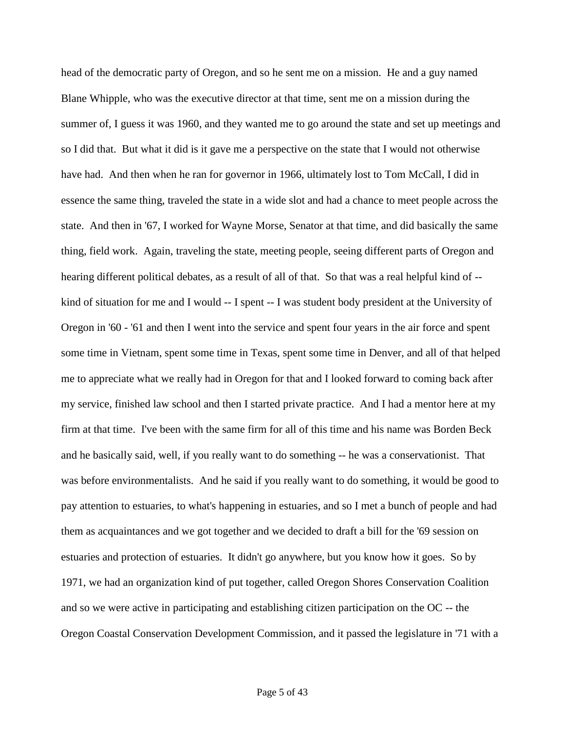head of the democratic party of Oregon, and so he sent me on a mission. He and a guy named Blane Whipple, who was the executive director at that time, sent me on a mission during the summer of, I guess it was 1960, and they wanted me to go around the state and set up meetings and so I did that. But what it did is it gave me a perspective on the state that I would not otherwise have had. And then when he ran for governor in 1966, ultimately lost to Tom McCall, I did in essence the same thing, traveled the state in a wide slot and had a chance to meet people across the state. And then in '67, I worked for Wayne Morse, Senator at that time, and did basically the same thing, field work. Again, traveling the state, meeting people, seeing different parts of Oregon and hearing different political debates, as a result of all of that. So that was a real helpful kind of - kind of situation for me and I would -- I spent -- I was student body president at the University of Oregon in '60 - '61 and then I went into the service and spent four years in the air force and spent some time in Vietnam, spent some time in Texas, spent some time in Denver, and all of that helped me to appreciate what we really had in Oregon for that and I looked forward to coming back after my service, finished law school and then I started private practice. And I had a mentor here at my firm at that time. I've been with the same firm for all of this time and his name was Borden Beck and he basically said, well, if you really want to do something -- he was a conservationist. That was before environmentalists. And he said if you really want to do something, it would be good to pay attention to estuaries, to what's happening in estuaries, and so I met a bunch of people and had them as acquaintances and we got together and we decided to draft a bill for the '69 session on estuaries and protection of estuaries. It didn't go anywhere, but you know how it goes. So by 1971, we had an organization kind of put together, called Oregon Shores Conservation Coalition and so we were active in participating and establishing citizen participation on the OC -- the Oregon Coastal Conservation Development Commission, and it passed the legislature in '71 with a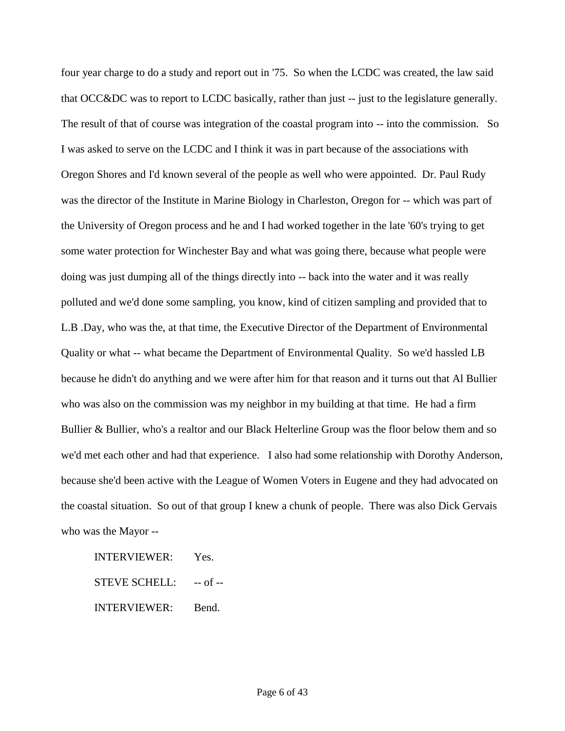four year charge to do a study and report out in '75. So when the LCDC was created, the law said that OCC&DC was to report to LCDC basically, rather than just -- just to the legislature generally. The result of that of course was integration of the coastal program into -- into the commission. So I was asked to serve on the LCDC and I think it was in part because of the associations with Oregon Shores and I'd known several of the people as well who were appointed. Dr. Paul Rudy was the director of the Institute in Marine Biology in Charleston, Oregon for -- which was part of the University of Oregon process and he and I had worked together in the late '60's trying to get some water protection for Winchester Bay and what was going there, because what people were doing was just dumping all of the things directly into -- back into the water and it was really polluted and we'd done some sampling, you know, kind of citizen sampling and provided that to L.B .Day, who was the, at that time, the Executive Director of the Department of Environmental Quality or what -- what became the Department of Environmental Quality. So we'd hassled LB because he didn't do anything and we were after him for that reason and it turns out that Al Bullier who was also on the commission was my neighbor in my building at that time. He had a firm Bullier & Bullier, who's a realtor and our Black Helterline Group was the floor below them and so we'd met each other and had that experience. I also had some relationship with Dorothy Anderson, because she'd been active with the League of Women Voters in Eugene and they had advocated on the coastal situation. So out of that group I knew a chunk of people. There was also Dick Gervais who was the Mayor --

INTERVIEWER: Yes.

STEVE SCHELL: -- of --

INTERVIEWER: Bend.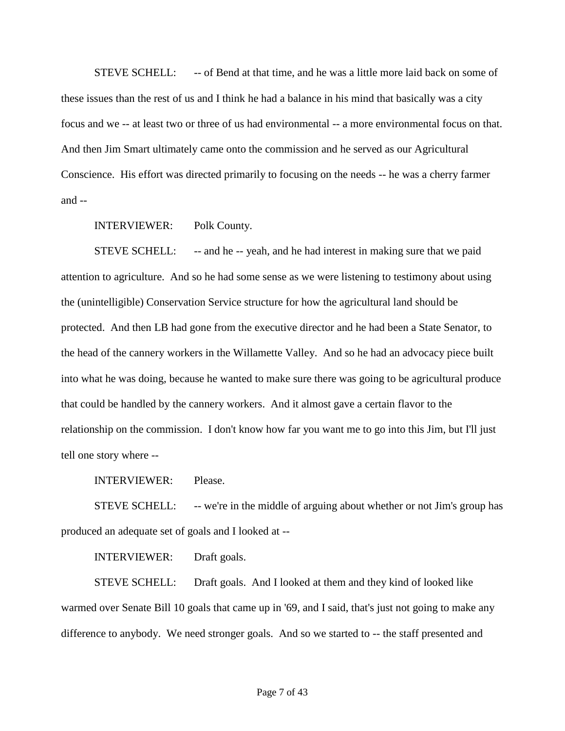STEVE SCHELL: -- of Bend at that time, and he was a little more laid back on some of these issues than the rest of us and I think he had a balance in his mind that basically was a city focus and we -- at least two or three of us had environmental -- a more environmental focus on that. And then Jim Smart ultimately came onto the commission and he served as our Agricultural Conscience. His effort was directed primarily to focusing on the needs -- he was a cherry farmer and --

INTERVIEWER: Polk County.

STEVE SCHELL: -- and he -- yeah, and he had interest in making sure that we paid attention to agriculture. And so he had some sense as we were listening to testimony about using the (unintelligible) Conservation Service structure for how the agricultural land should be protected. And then LB had gone from the executive director and he had been a State Senator, to the head of the cannery workers in the Willamette Valley. And so he had an advocacy piece built into what he was doing, because he wanted to make sure there was going to be agricultural produce that could be handled by the cannery workers. And it almost gave a certain flavor to the relationship on the commission. I don't know how far you want me to go into this Jim, but I'll just tell one story where --

INTERVIEWER: Please.

STEVE SCHELL: -- we're in the middle of arguing about whether or not Jim's group has produced an adequate set of goals and I looked at --

INTERVIEWER: Draft goals.

STEVE SCHELL: Draft goals. And I looked at them and they kind of looked like warmed over Senate Bill 10 goals that came up in '69, and I said, that's just not going to make any difference to anybody. We need stronger goals. And so we started to -- the staff presented and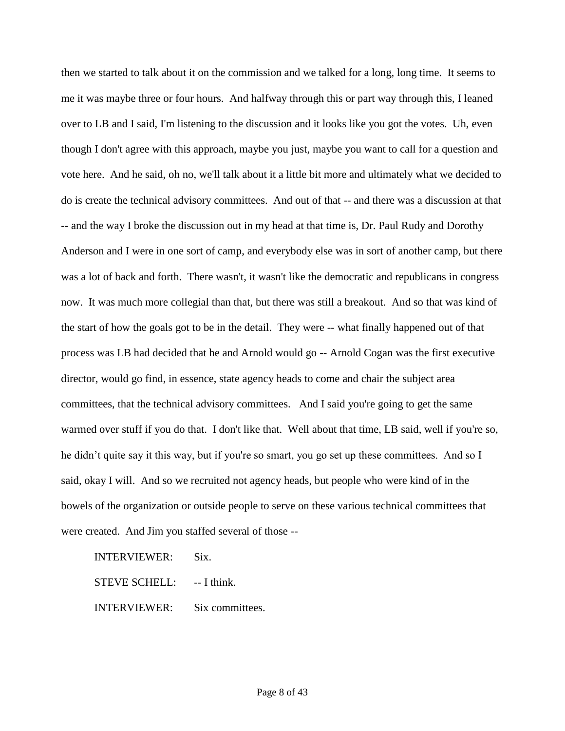then we started to talk about it on the commission and we talked for a long, long time. It seems to me it was maybe three or four hours. And halfway through this or part way through this, I leaned over to LB and I said, I'm listening to the discussion and it looks like you got the votes. Uh, even though I don't agree with this approach, maybe you just, maybe you want to call for a question and vote here. And he said, oh no, we'll talk about it a little bit more and ultimately what we decided to do is create the technical advisory committees. And out of that -- and there was a discussion at that -- and the way I broke the discussion out in my head at that time is, Dr. Paul Rudy and Dorothy Anderson and I were in one sort of camp, and everybody else was in sort of another camp, but there was a lot of back and forth. There wasn't, it wasn't like the democratic and republicans in congress now. It was much more collegial than that, but there was still a breakout. And so that was kind of the start of how the goals got to be in the detail. They were -- what finally happened out of that process was LB had decided that he and Arnold would go -- Arnold Cogan was the first executive director, would go find, in essence, state agency heads to come and chair the subject area committees, that the technical advisory committees. And I said you're going to get the same warmed over stuff if you do that. I don't like that. Well about that time, LB said, well if you're so, he didn't quite say it this way, but if you're so smart, you go set up these committees. And so I said, okay I will. And so we recruited not agency heads, but people who were kind of in the bowels of the organization or outside people to serve on these various technical committees that were created. And Jim you staffed several of those --

INTERVIEWER: Six.

STEVE SCHELL: --- I think.

INTERVIEWER: Six committees.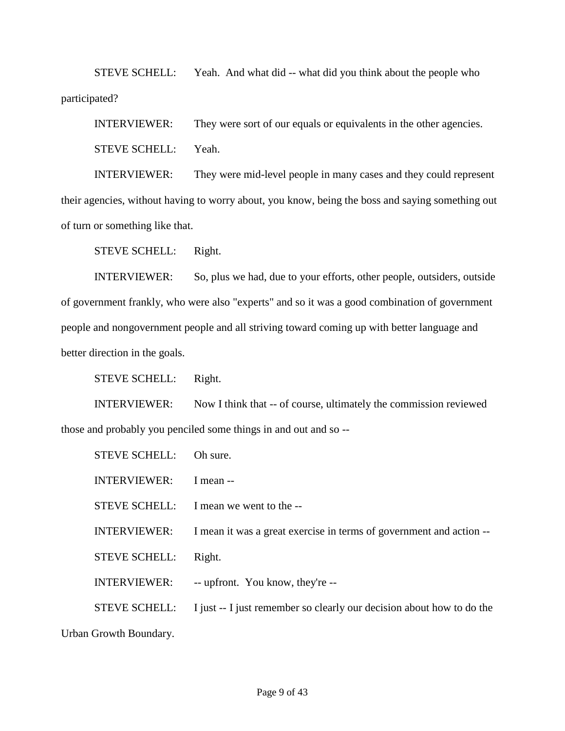STEVE SCHELL: Yeah. And what did -- what did you think about the people who participated?

INTERVIEWER: They were sort of our equals or equivalents in the other agencies.

STEVE SCHELL: Yeah.

INTERVIEWER: They were mid-level people in many cases and they could represent their agencies, without having to worry about, you know, being the boss and saying something out of turn or something like that.

STEVE SCHELL: Right.

INTERVIEWER: So, plus we had, due to your efforts, other people, outsiders, outside of government frankly, who were also "experts" and so it was a good combination of government people and nongovernment people and all striving toward coming up with better language and better direction in the goals.

STEVE SCHELL: Right.

INTERVIEWER: Now I think that -- of course, ultimately the commission reviewed those and probably you penciled some things in and out and so --

| <b>STEVE SCHELL:</b> | Oh sure.                                                              |
|----------------------|-----------------------------------------------------------------------|
| <b>INTERVIEWER:</b>  | I mean --                                                             |
|                      | STEVE SCHELL: I mean we went to the --                                |
| <b>INTERVIEWER:</b>  | I mean it was a great exercise in terms of government and action --   |
| <b>STEVE SCHELL:</b> | Right.                                                                |
| <b>INTERVIEWER:</b>  | -- upfront. You know, they're --                                      |
| <b>STEVE SCHELL:</b> | I just -- I just remember so clearly our decision about how to do the |

Urban Growth Boundary.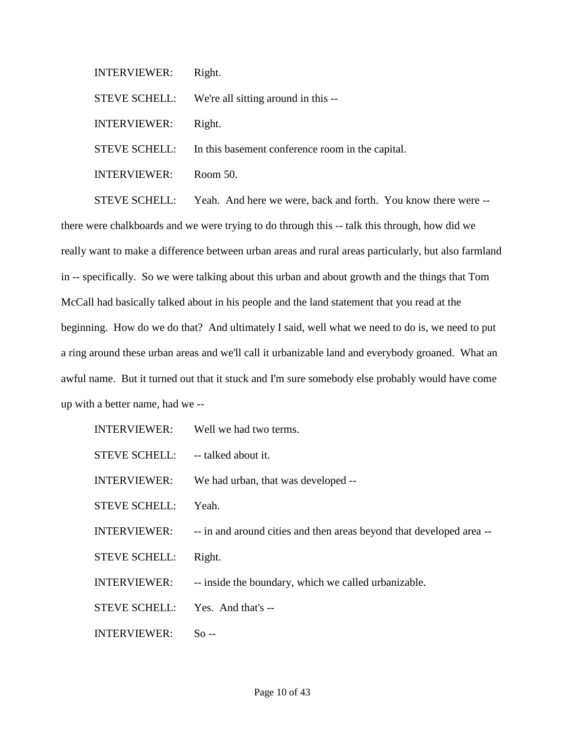INTERVIEWER: Right.

STEVE SCHELL: We're all sitting around in this --

INTERVIEWER: Right.

STEVE SCHELL: In this basement conference room in the capital.

INTERVIEWER: Room 50.

STEVE SCHELL: Yeah. And here we were, back and forth. You know there were - there were chalkboards and we were trying to do through this -- talk this through, how did we really want to make a difference between urban areas and rural areas particularly, but also farmland in -- specifically. So we were talking about this urban and about growth and the things that Tom McCall had basically talked about in his people and the land statement that you read at the beginning. How do we do that? And ultimately I said, well what we need to do is, we need to put a ring around these urban areas and we'll call it urbanizable land and everybody groaned. What an awful name. But it turned out that it stuck and I'm sure somebody else probably would have come up with a better name, had we --

| <b>INTERVIEWER:</b>  | Well we had two terms.                                               |
|----------------------|----------------------------------------------------------------------|
| <b>STEVE SCHELL:</b> | -- talked about it.                                                  |
| <b>INTERVIEWER:</b>  | We had urban, that was developed --                                  |
| <b>STEVE SCHELL:</b> | Yeah.                                                                |
| <b>INTERVIEWER:</b>  | -- in and around cities and then areas beyond that developed area -- |
| <b>STEVE SCHELL:</b> | Right.                                                               |
| <b>INTERVIEWER:</b>  | -- inside the boundary, which we called urbanizable.                 |
| <b>STEVE SCHELL:</b> | Yes. And that's --                                                   |
| INTERVIEWER:         | So --                                                                |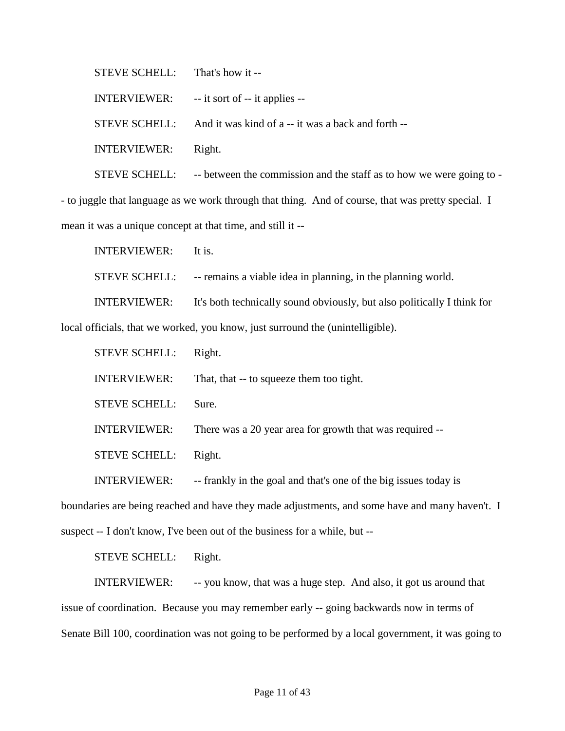STEVE SCHELL: That's how it --

INTERVIEWER: -- it sort of -- it applies --

STEVE SCHELL: And it was kind of a -- it was a back and forth --

INTERVIEWER: Right.

STEVE SCHELL: - - between the commission and the staff as to how we were going to -

- to juggle that language as we work through that thing. And of course, that was pretty special. I mean it was a unique concept at that time, and still it --

INTERVIEWER: It is.

STEVE SCHELL: -- remains a viable idea in planning, in the planning world.

INTERVIEWER: It's both technically sound obviously, but also politically I think for

local officials, that we worked, you know, just surround the (unintelligible).

| <b>STEVE SCHELL:</b> | Right.                                                   |
|----------------------|----------------------------------------------------------|
| <b>INTERVIEWER:</b>  | That, that -- to squeeze them too tight.                 |
| <b>STEVE SCHELL:</b> | Sure.                                                    |
| <b>INTERVIEWER:</b>  | There was a 20 year area for growth that was required -- |
| <b>STEVE SCHELL:</b> | Right.                                                   |
|                      |                                                          |

INTERVIEWER: -- frankly in the goal and that's one of the big issues today is

boundaries are being reached and have they made adjustments, and some have and many haven't. I

suspect -- I don't know, I've been out of the business for a while, but --

STEVE SCHELL: Right.

INTERVIEWER: -- you know, that was a huge step. And also, it got us around that issue of coordination. Because you may remember early -- going backwards now in terms of Senate Bill 100, coordination was not going to be performed by a local government, it was going to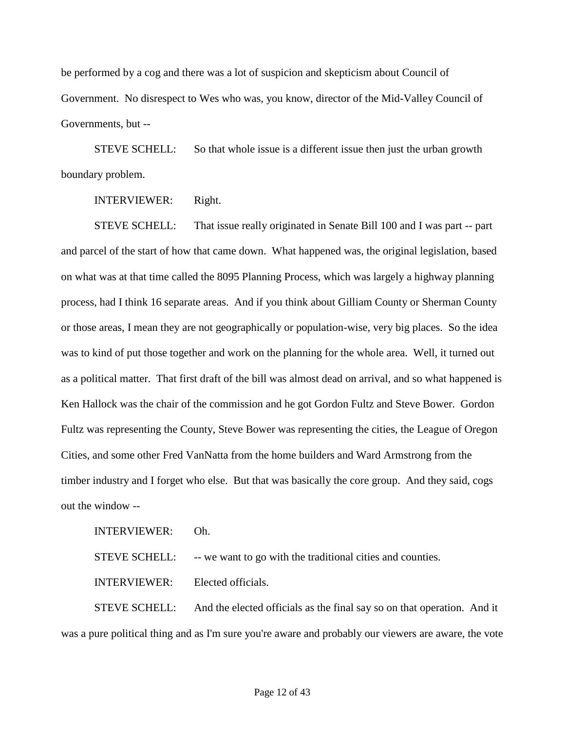be performed by a cog and there was a lot of suspicion and skepticism about Council of Government. No disrespect to Wes who was, you know, director of the Mid-Valley Council of Governments, but --

STEVE SCHELL: So that whole issue is a different issue then just the urban growth boundary problem.

INTERVIEWER: Right.

STEVE SCHELL: That issue really originated in Senate Bill 100 and I was part -- part and parcel of the start of how that came down. What happened was, the original legislation, based on what was at that time called the 8095 Planning Process, which was largely a highway planning process, had I think 16 separate areas. And if you think about Gilliam County or Sherman County or those areas, I mean they are not geographically or population-wise, very big places. So the idea was to kind of put those together and work on the planning for the whole area. Well, it turned out as a political matter. That first draft of the bill was almost dead on arrival, and so what happened is Ken Hallock was the chair of the commission and he got Gordon Fultz and Steve Bower. Gordon Fultz was representing the County, Steve Bower was representing the cities, the League of Oregon Cities, and some other Fred VanNatta from the home builders and Ward Armstrong from the timber industry and I forget who else. But that was basically the core group. And they said, cogs out the window --

INTERVIEWER: Oh. STEVE SCHELL: -- we want to go with the traditional cities and counties. INTERVIEWER: Elected officials.

STEVE SCHELL: And the elected officials as the final say so on that operation. And it was a pure political thing and as I'm sure you're aware and probably our viewers are aware, the vote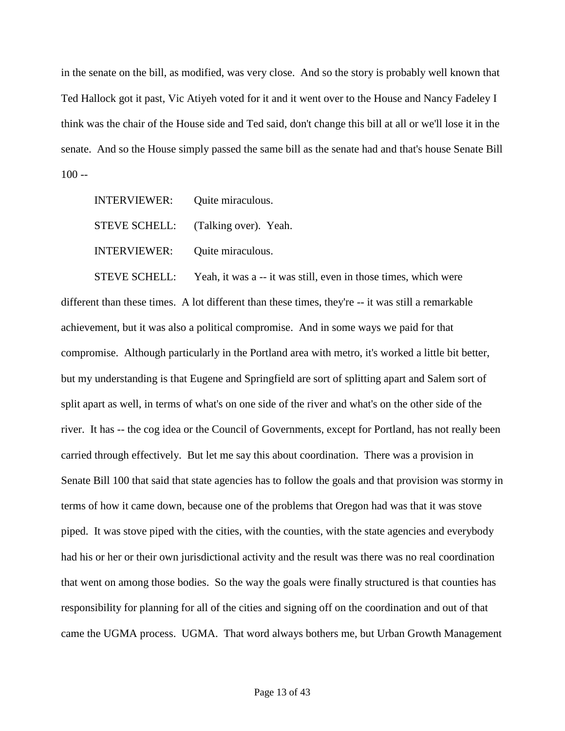in the senate on the bill, as modified, was very close. And so the story is probably well known that Ted Hallock got it past, Vic Atiyeh voted for it and it went over to the House and Nancy Fadeley I think was the chair of the House side and Ted said, don't change this bill at all or we'll lose it in the senate. And so the House simply passed the same bill as the senate had and that's house Senate Bill  $100 -$ 

INTERVIEWER: Quite miraculous. STEVE SCHELL: (Talking over). Yeah. INTERVIEWER: Quite miraculous.

STEVE SCHELL: Yeah, it was a -- it was still, even in those times, which were different than these times. A lot different than these times, they're -- it was still a remarkable achievement, but it was also a political compromise. And in some ways we paid for that compromise. Although particularly in the Portland area with metro, it's worked a little bit better, but my understanding is that Eugene and Springfield are sort of splitting apart and Salem sort of split apart as well, in terms of what's on one side of the river and what's on the other side of the river. It has -- the cog idea or the Council of Governments, except for Portland, has not really been carried through effectively. But let me say this about coordination. There was a provision in Senate Bill 100 that said that state agencies has to follow the goals and that provision was stormy in terms of how it came down, because one of the problems that Oregon had was that it was stove piped. It was stove piped with the cities, with the counties, with the state agencies and everybody had his or her or their own jurisdictional activity and the result was there was no real coordination that went on among those bodies. So the way the goals were finally structured is that counties has responsibility for planning for all of the cities and signing off on the coordination and out of that came the UGMA process. UGMA. That word always bothers me, but Urban Growth Management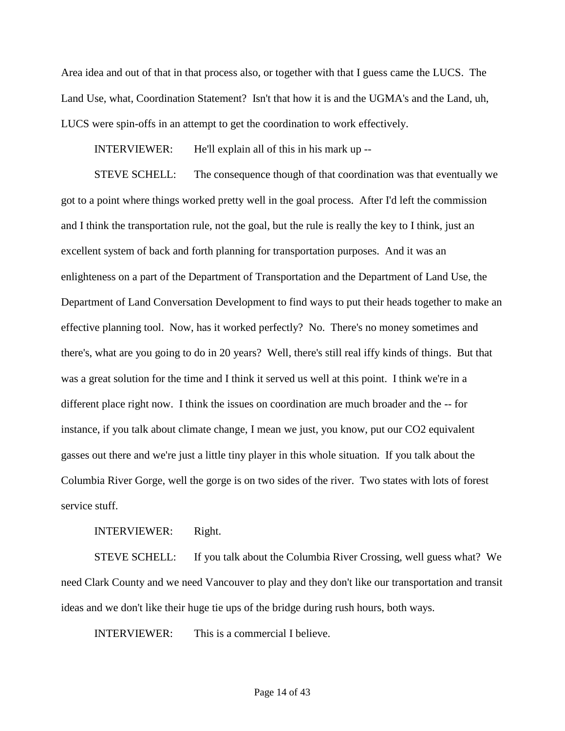Area idea and out of that in that process also, or together with that I guess came the LUCS. The Land Use, what, Coordination Statement? Isn't that how it is and the UGMA's and the Land, uh, LUCS were spin-offs in an attempt to get the coordination to work effectively.

INTERVIEWER: He'll explain all of this in his mark up --

STEVE SCHELL: The consequence though of that coordination was that eventually we got to a point where things worked pretty well in the goal process. After I'd left the commission and I think the transportation rule, not the goal, but the rule is really the key to I think, just an excellent system of back and forth planning for transportation purposes. And it was an enlighteness on a part of the Department of Transportation and the Department of Land Use, the Department of Land Conversation Development to find ways to put their heads together to make an effective planning tool. Now, has it worked perfectly? No. There's no money sometimes and there's, what are you going to do in 20 years? Well, there's still real iffy kinds of things. But that was a great solution for the time and I think it served us well at this point. I think we're in a different place right now. I think the issues on coordination are much broader and the -- for instance, if you talk about climate change, I mean we just, you know, put our CO2 equivalent gasses out there and we're just a little tiny player in this whole situation. If you talk about the Columbia River Gorge, well the gorge is on two sides of the river. Two states with lots of forest service stuff.

INTERVIEWER: Right.

STEVE SCHELL: If you talk about the Columbia River Crossing, well guess what? We need Clark County and we need Vancouver to play and they don't like our transportation and transit ideas and we don't like their huge tie ups of the bridge during rush hours, both ways.

INTERVIEWER: This is a commercial I believe.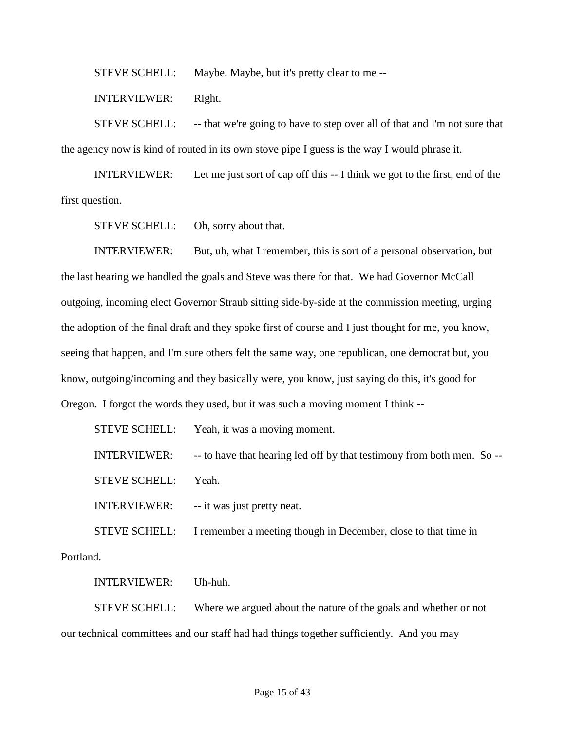STEVE SCHELL: Maybe. Maybe, but it's pretty clear to me --

INTERVIEWER: Right.

STEVE SCHELL: -- that we're going to have to step over all of that and I'm not sure that the agency now is kind of routed in its own stove pipe I guess is the way I would phrase it.

INTERVIEWER: Let me just sort of cap off this -- I think we got to the first, end of the first question.

STEVE SCHELL: Oh, sorry about that.

INTERVIEWER: But, uh, what I remember, this is sort of a personal observation, but the last hearing we handled the goals and Steve was there for that. We had Governor McCall outgoing, incoming elect Governor Straub sitting side-by-side at the commission meeting, urging the adoption of the final draft and they spoke first of course and I just thought for me, you know, seeing that happen, and I'm sure others felt the same way, one republican, one democrat but, you know, outgoing/incoming and they basically were, you know, just saying do this, it's good for Oregon. I forgot the words they used, but it was such a moving moment I think --

|                      | STEVE SCHELL: Yeah, it was a moving moment.                            |
|----------------------|------------------------------------------------------------------------|
| <b>INTERVIEWER:</b>  | -- to have that hearing led off by that testimony from both men. So -- |
| <b>STEVE SCHELL:</b> | Yeah.                                                                  |
| <b>INTERVIEWER:</b>  | -- it was just pretty neat.                                            |
| <b>STEVE SCHELL:</b> | I remember a meeting though in December, close to that time in         |
|                      |                                                                        |

Portland.

INTERVIEWER: Uh-huh.

STEVE SCHELL: Where we argued about the nature of the goals and whether or not our technical committees and our staff had had things together sufficiently. And you may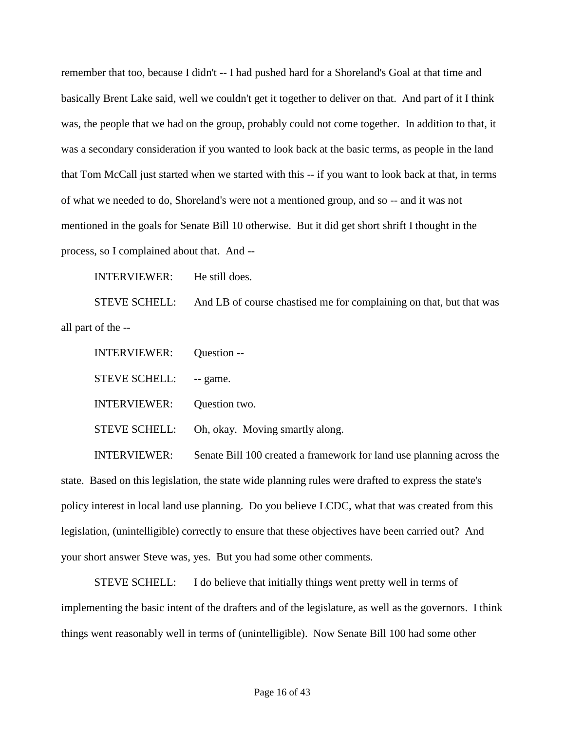remember that too, because I didn't -- I had pushed hard for a Shoreland's Goal at that time and basically Brent Lake said, well we couldn't get it together to deliver on that. And part of it I think was, the people that we had on the group, probably could not come together. In addition to that, it was a secondary consideration if you wanted to look back at the basic terms, as people in the land that Tom McCall just started when we started with this -- if you want to look back at that, in terms of what we needed to do, Shoreland's were not a mentioned group, and so -- and it was not mentioned in the goals for Senate Bill 10 otherwise. But it did get short shrift I thought in the process, so I complained about that. And --

INTERVIEWER: He still does.

STEVE SCHELL: And LB of course chastised me for complaining on that, but that was all part of the --

INTERVIEWER: Question -- STEVE SCHELL: -- game. INTERVIEWER: Question two. STEVE SCHELL: Oh, okay. Moving smartly along.

INTERVIEWER: Senate Bill 100 created a framework for land use planning across the state. Based on this legislation, the state wide planning rules were drafted to express the state's policy interest in local land use planning. Do you believe LCDC, what that was created from this legislation, (unintelligible) correctly to ensure that these objectives have been carried out? And your short answer Steve was, yes. But you had some other comments.

STEVE SCHELL: I do believe that initially things went pretty well in terms of implementing the basic intent of the drafters and of the legislature, as well as the governors. I think things went reasonably well in terms of (unintelligible). Now Senate Bill 100 had some other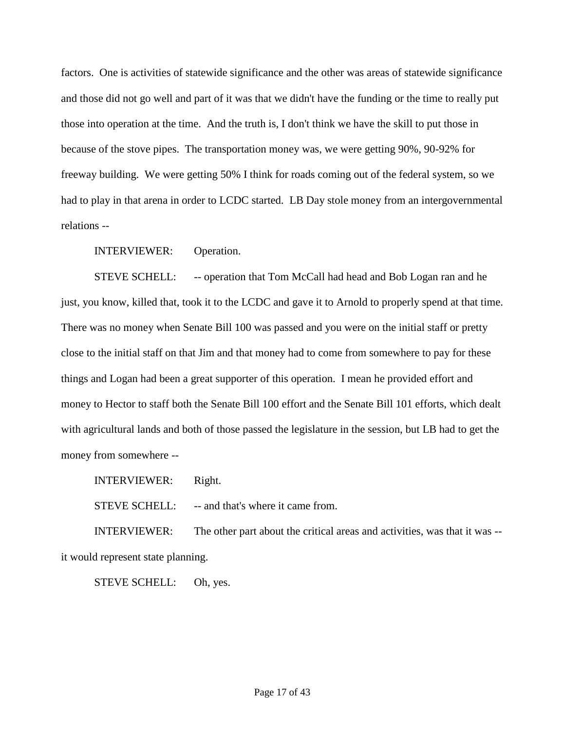factors. One is activities of statewide significance and the other was areas of statewide significance and those did not go well and part of it was that we didn't have the funding or the time to really put those into operation at the time. And the truth is, I don't think we have the skill to put those in because of the stove pipes. The transportation money was, we were getting 90%, 90-92% for freeway building. We were getting 50% I think for roads coming out of the federal system, so we had to play in that arena in order to LCDC started. LB Day stole money from an intergovernmental relations --

INTERVIEWER: Operation.

STEVE SCHELL: - - operation that Tom McCall had head and Bob Logan ran and he just, you know, killed that, took it to the LCDC and gave it to Arnold to properly spend at that time. There was no money when Senate Bill 100 was passed and you were on the initial staff or pretty close to the initial staff on that Jim and that money had to come from somewhere to pay for these things and Logan had been a great supporter of this operation. I mean he provided effort and money to Hector to staff both the Senate Bill 100 effort and the Senate Bill 101 efforts, which dealt with agricultural lands and both of those passed the legislature in the session, but LB had to get the money from somewhere --

INTERVIEWER: Right.

STEVE SCHELL: -- and that's where it came from.

INTERVIEWER: The other part about the critical areas and activities, was that it was - it would represent state planning.

STEVE SCHELL: Oh, yes.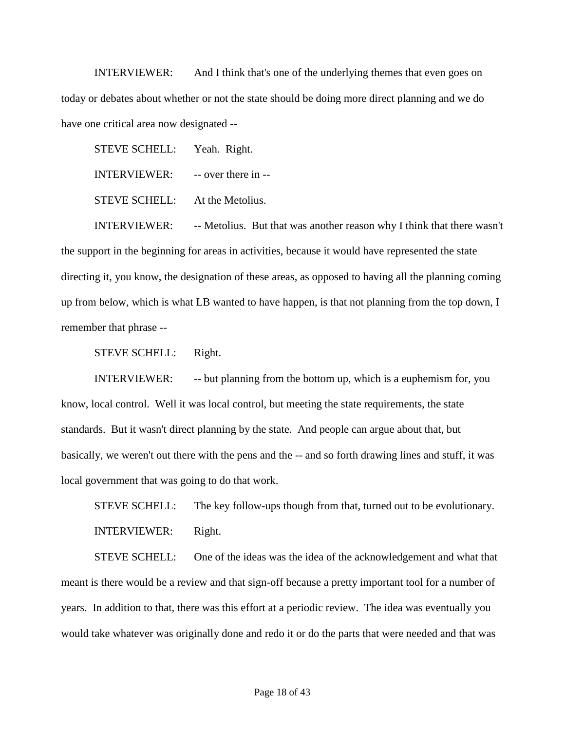INTERVIEWER: And I think that's one of the underlying themes that even goes on today or debates about whether or not the state should be doing more direct planning and we do have one critical area now designated --

STEVE SCHELL: Yeah. Right. INTERVIEWER: -- over there in -- STEVE SCHELL: At the Metolius.

INTERVIEWER: -- Metolius. But that was another reason why I think that there wasn't the support in the beginning for areas in activities, because it would have represented the state directing it, you know, the designation of these areas, as opposed to having all the planning coming up from below, which is what LB wanted to have happen, is that not planning from the top down, I remember that phrase --

STEVE SCHELL: Right.

INTERVIEWER: -- but planning from the bottom up, which is a euphemism for, you know, local control. Well it was local control, but meeting the state requirements, the state standards. But it wasn't direct planning by the state. And people can argue about that, but basically, we weren't out there with the pens and the -- and so forth drawing lines and stuff, it was local government that was going to do that work.

STEVE SCHELL: The key follow-ups though from that, turned out to be evolutionary. INTERVIEWER: Right.

STEVE SCHELL: One of the ideas was the idea of the acknowledgement and what that meant is there would be a review and that sign-off because a pretty important tool for a number of years. In addition to that, there was this effort at a periodic review. The idea was eventually you would take whatever was originally done and redo it or do the parts that were needed and that was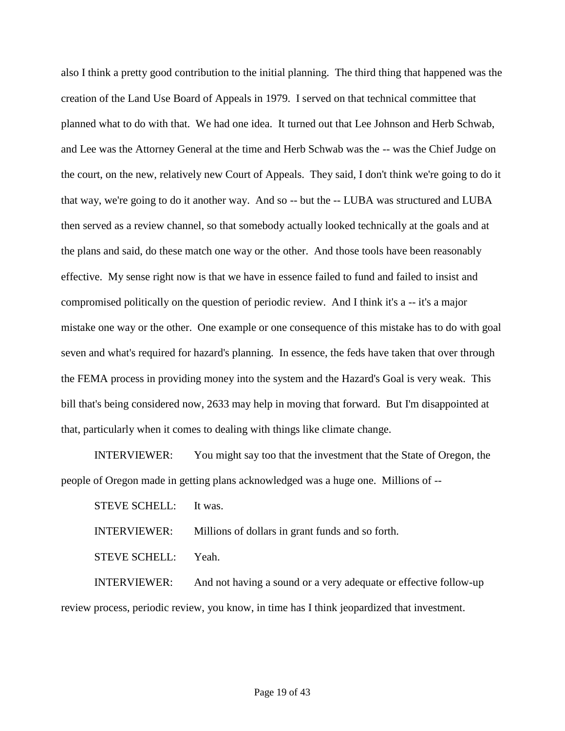also I think a pretty good contribution to the initial planning. The third thing that happened was the creation of the Land Use Board of Appeals in 1979. I served on that technical committee that planned what to do with that. We had one idea. It turned out that Lee Johnson and Herb Schwab, and Lee was the Attorney General at the time and Herb Schwab was the -- was the Chief Judge on the court, on the new, relatively new Court of Appeals. They said, I don't think we're going to do it that way, we're going to do it another way. And so -- but the -- LUBA was structured and LUBA then served as a review channel, so that somebody actually looked technically at the goals and at the plans and said, do these match one way or the other. And those tools have been reasonably effective. My sense right now is that we have in essence failed to fund and failed to insist and compromised politically on the question of periodic review. And I think it's a -- it's a major mistake one way or the other. One example or one consequence of this mistake has to do with goal seven and what's required for hazard's planning. In essence, the feds have taken that over through the FEMA process in providing money into the system and the Hazard's Goal is very weak. This bill that's being considered now, 2633 may help in moving that forward. But I'm disappointed at that, particularly when it comes to dealing with things like climate change.

INTERVIEWER: You might say too that the investment that the State of Oregon, the people of Oregon made in getting plans acknowledged was a huge one. Millions of --

STEVE SCHELL: It was.

INTERVIEWER: Millions of dollars in grant funds and so forth.

STEVE SCHELL: Yeah.

INTERVIEWER: And not having a sound or a very adequate or effective follow-up review process, periodic review, you know, in time has I think jeopardized that investment.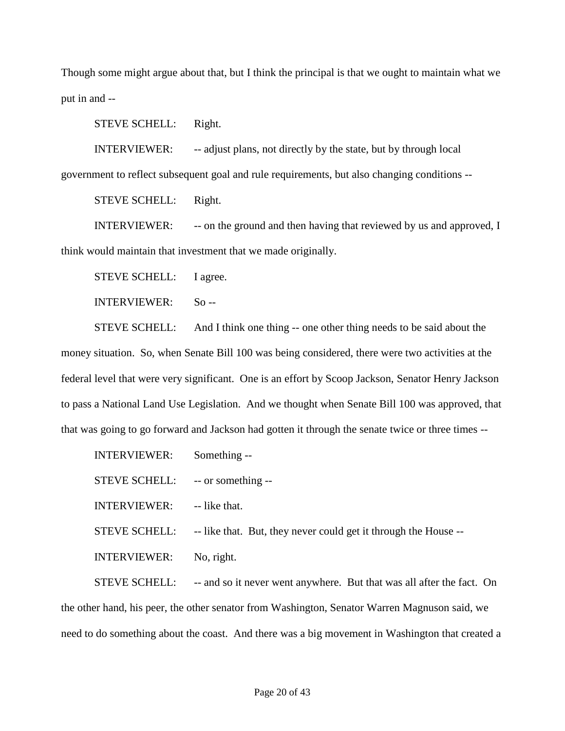Though some might argue about that, but I think the principal is that we ought to maintain what we put in and --

STEVE SCHELL: Right.

INTERVIEWER: -- adjust plans, not directly by the state, but by through local

government to reflect subsequent goal and rule requirements, but also changing conditions --

STEVE SCHELL: Right.

INTERVIEWER: - -- on the ground and then having that reviewed by us and approved, I think would maintain that investment that we made originally.

STEVE SCHELL: I agree.

INTERVIEWER: So --

STEVE SCHELL: And I think one thing -- one other thing needs to be said about the money situation. So, when Senate Bill 100 was being considered, there were two activities at the federal level that were very significant. One is an effort by Scoop Jackson, Senator Henry Jackson to pass a National Land Use Legislation. And we thought when Senate Bill 100 was approved, that that was going to go forward and Jackson had gotten it through the senate twice or three times --

| <b>INTERVIEWER:</b>              | Something --                                                    |
|----------------------------------|-----------------------------------------------------------------|
| STEVE SCHELL: -- or something -- |                                                                 |
| <b>INTERVIEWER:</b>              | -- like that.                                                   |
| <b>STEVE SCHELL:</b>             | -- like that. But, they never could get it through the House -- |
| <b>INTERVIEWER:</b>              | No, right.                                                      |
|                                  |                                                                 |

STEVE SCHELL: -- and so it never went anywhere. But that was all after the fact. On the other hand, his peer, the other senator from Washington, Senator Warren Magnuson said, we need to do something about the coast. And there was a big movement in Washington that created a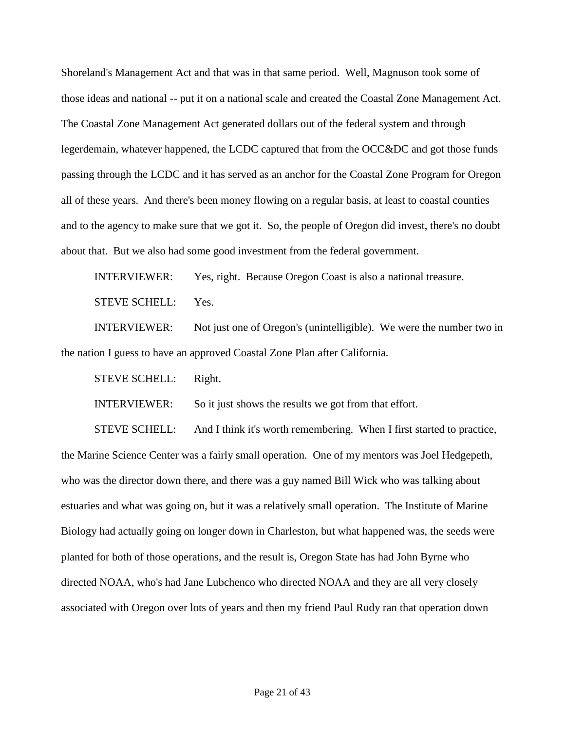Shoreland's Management Act and that was in that same period. Well, Magnuson took some of those ideas and national -- put it on a national scale and created the Coastal Zone Management Act. The Coastal Zone Management Act generated dollars out of the federal system and through legerdemain, whatever happened, the LCDC captured that from the OCC&DC and got those funds passing through the LCDC and it has served as an anchor for the Coastal Zone Program for Oregon all of these years. And there's been money flowing on a regular basis, at least to coastal counties and to the agency to make sure that we got it. So, the people of Oregon did invest, there's no doubt about that. But we also had some good investment from the federal government.

INTERVIEWER: Yes, right. Because Oregon Coast is also a national treasure. STEVE SCHELL: Yes.

INTERVIEWER: Not just one of Oregon's (unintelligible). We were the number two in the nation I guess to have an approved Coastal Zone Plan after California.

STEVE SCHELL: Right.

INTERVIEWER: So it just shows the results we got from that effort.

STEVE SCHELL: And I think it's worth remembering. When I first started to practice, the Marine Science Center was a fairly small operation. One of my mentors was Joel Hedgepeth, who was the director down there, and there was a guy named Bill Wick who was talking about estuaries and what was going on, but it was a relatively small operation. The Institute of Marine Biology had actually going on longer down in Charleston, but what happened was, the seeds were planted for both of those operations, and the result is, Oregon State has had John Byrne who directed NOAA, who's had Jane Lubchenco who directed NOAA and they are all very closely associated with Oregon over lots of years and then my friend Paul Rudy ran that operation down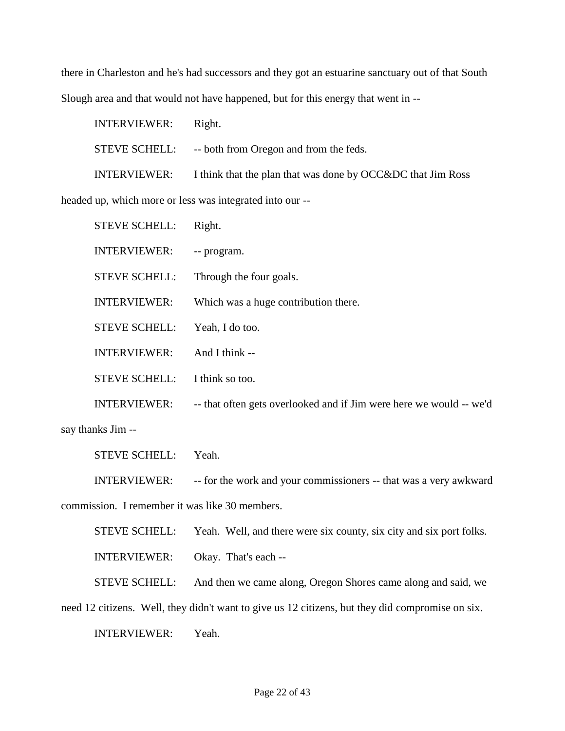there in Charleston and he's had successors and they got an estuarine sanctuary out of that South Slough area and that would not have happened, but for this energy that went in --

INTERVIEWER: Right. STEVE SCHELL: -- both from Oregon and from the feds. INTERVIEWER: I think that the plan that was done by OCC&DC that Jim Ross headed up, which more or less was integrated into our --

| <b>STEVE SCHELL:</b> | Right.                                                              |
|----------------------|---------------------------------------------------------------------|
| <b>INTERVIEWER:</b>  | -- program.                                                         |
| <b>STEVE SCHELL:</b> | Through the four goals.                                             |
| <b>INTERVIEWER:</b>  | Which was a huge contribution there.                                |
| <b>STEVE SCHELL:</b> | Yeah, I do too.                                                     |
| <b>INTERVIEWER:</b>  | And I think --                                                      |
| <b>STEVE SCHELL:</b> | I think so too.                                                     |
| <b>INTERVIEWER:</b>  | -- that often gets overlooked and if Jim were here we would -- we'd |

say thanks Jim --

STEVE SCHELL: Yeah.

INTERVIEWER: -- for the work and your commissioners -- that was a very awkward commission. I remember it was like 30 members.

STEVE SCHELL: Yeah. Well, and there were six county, six city and six port folks.

INTERVIEWER: Okay. That's each --

STEVE SCHELL: And then we came along, Oregon Shores came along and said, we

need 12 citizens. Well, they didn't want to give us 12 citizens, but they did compromise on six.

INTERVIEWER: Yeah.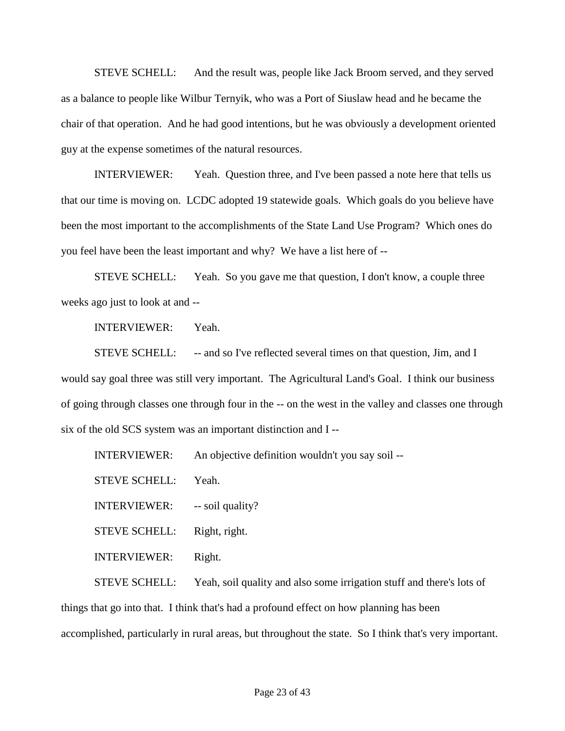STEVE SCHELL: And the result was, people like Jack Broom served, and they served as a balance to people like Wilbur Ternyik, who was a Port of Siuslaw head and he became the chair of that operation. And he had good intentions, but he was obviously a development oriented guy at the expense sometimes of the natural resources.

INTERVIEWER: Yeah. Question three, and I've been passed a note here that tells us that our time is moving on. LCDC adopted 19 statewide goals. Which goals do you believe have been the most important to the accomplishments of the State Land Use Program? Which ones do you feel have been the least important and why? We have a list here of --

STEVE SCHELL: Yeah. So you gave me that question, I don't know, a couple three weeks ago just to look at and --

INTERVIEWER: Yeah.

STEVE SCHELL: -- and so I've reflected several times on that question, Jim, and I would say goal three was still very important. The Agricultural Land's Goal. I think our business of going through classes one through four in the -- on the west in the valley and classes one through six of the old SCS system was an important distinction and I --

INTERVIEWER: An objective definition wouldn't you say soil --

STEVE SCHELL: Yeah.

INTERVIEWER: -- soil quality?

STEVE SCHELL: Right, right.

INTERVIEWER: Right.

STEVE SCHELL: Yeah, soil quality and also some irrigation stuff and there's lots of things that go into that. I think that's had a profound effect on how planning has been accomplished, particularly in rural areas, but throughout the state. So I think that's very important.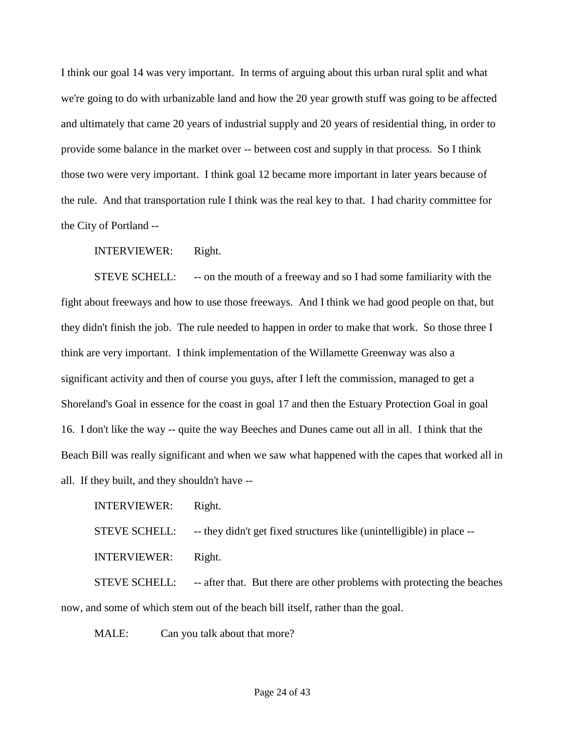I think our goal 14 was very important. In terms of arguing about this urban rural split and what we're going to do with urbanizable land and how the 20 year growth stuff was going to be affected and ultimately that came 20 years of industrial supply and 20 years of residential thing, in order to provide some balance in the market over -- between cost and supply in that process. So I think those two were very important. I think goal 12 became more important in later years because of the rule. And that transportation rule I think was the real key to that. I had charity committee for the City of Portland --

INTERVIEWER: Right.

STEVE SCHELL: - -- on the mouth of a freeway and so I had some familiarity with the fight about freeways and how to use those freeways. And I think we had good people on that, but they didn't finish the job. The rule needed to happen in order to make that work. So those three I think are very important. I think implementation of the Willamette Greenway was also a significant activity and then of course you guys, after I left the commission, managed to get a Shoreland's Goal in essence for the coast in goal 17 and then the Estuary Protection Goal in goal 16. I don't like the way -- quite the way Beeches and Dunes came out all in all. I think that the Beach Bill was really significant and when we saw what happened with the capes that worked all in all. If they built, and they shouldn't have --

INTERVIEWER: Right.

STEVE SCHELL: -- they didn't get fixed structures like (unintelligible) in place --

INTERVIEWER: Right.

STEVE SCHELL: -- after that. But there are other problems with protecting the beaches now, and some of which stem out of the beach bill itself, rather than the goal.

MALE: Can you talk about that more?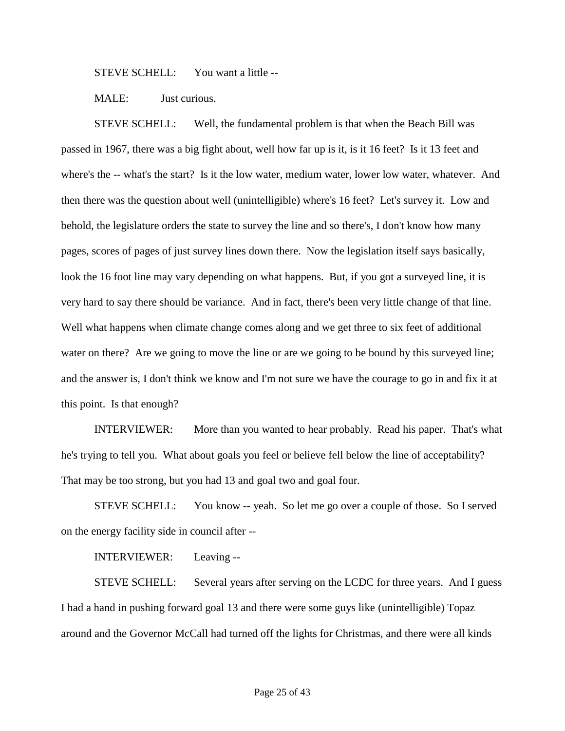STEVE SCHELL: You want a little --

MALE: Just curious.

STEVE SCHELL: Well, the fundamental problem is that when the Beach Bill was passed in 1967, there was a big fight about, well how far up is it, is it 16 feet? Is it 13 feet and where's the -- what's the start? Is it the low water, medium water, lower low water, whatever. And then there was the question about well (unintelligible) where's 16 feet? Let's survey it. Low and behold, the legislature orders the state to survey the line and so there's, I don't know how many pages, scores of pages of just survey lines down there. Now the legislation itself says basically, look the 16 foot line may vary depending on what happens. But, if you got a surveyed line, it is very hard to say there should be variance. And in fact, there's been very little change of that line. Well what happens when climate change comes along and we get three to six feet of additional water on there? Are we going to move the line or are we going to be bound by this surveyed line; and the answer is, I don't think we know and I'm not sure we have the courage to go in and fix it at this point. Is that enough?

INTERVIEWER: More than you wanted to hear probably. Read his paper. That's what he's trying to tell you. What about goals you feel or believe fell below the line of acceptability? That may be too strong, but you had 13 and goal two and goal four.

STEVE SCHELL: You know -- yeah. So let me go over a couple of those. So I served on the energy facility side in council after --

INTERVIEWER: Leaving --

STEVE SCHELL: Several years after serving on the LCDC for three years. And I guess I had a hand in pushing forward goal 13 and there were some guys like (unintelligible) Topaz around and the Governor McCall had turned off the lights for Christmas, and there were all kinds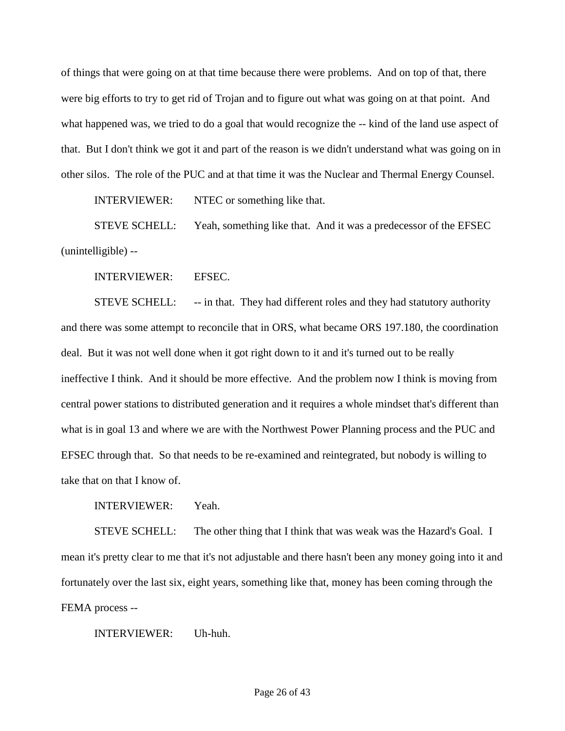of things that were going on at that time because there were problems. And on top of that, there were big efforts to try to get rid of Trojan and to figure out what was going on at that point. And what happened was, we tried to do a goal that would recognize the -- kind of the land use aspect of that. But I don't think we got it and part of the reason is we didn't understand what was going on in other silos. The role of the PUC and at that time it was the Nuclear and Thermal Energy Counsel.

INTERVIEWER: NTEC or something like that.

STEVE SCHELL: Yeah, something like that. And it was a predecessor of the EFSEC (unintelligible) --

INTERVIEWER: EFSEC.

STEVE SCHELL: -- in that. They had different roles and they had statutory authority and there was some attempt to reconcile that in ORS, what became ORS 197.180, the coordination deal. But it was not well done when it got right down to it and it's turned out to be really ineffective I think. And it should be more effective. And the problem now I think is moving from central power stations to distributed generation and it requires a whole mindset that's different than what is in goal 13 and where we are with the Northwest Power Planning process and the PUC and EFSEC through that. So that needs to be re-examined and reintegrated, but nobody is willing to take that on that I know of.

INTERVIEWER: Yeah.

STEVE SCHELL: The other thing that I think that was weak was the Hazard's Goal. I mean it's pretty clear to me that it's not adjustable and there hasn't been any money going into it and fortunately over the last six, eight years, something like that, money has been coming through the FEMA process --

INTERVIEWER: Uh-huh.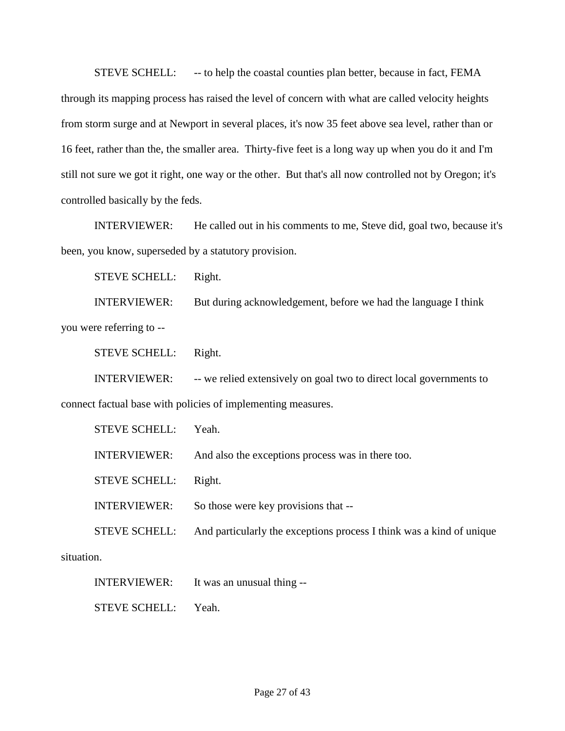STEVE SCHELL: - -- to help the coastal counties plan better, because in fact, FEMA through its mapping process has raised the level of concern with what are called velocity heights from storm surge and at Newport in several places, it's now 35 feet above sea level, rather than or 16 feet, rather than the, the smaller area. Thirty-five feet is a long way up when you do it and I'm still not sure we got it right, one way or the other. But that's all now controlled not by Oregon; it's controlled basically by the feds.

INTERVIEWER: He called out in his comments to me, Steve did, goal two, because it's been, you know, superseded by a statutory provision.

STEVE SCHELL: Right.

INTERVIEWER: But during acknowledgement, before we had the language I think you were referring to --

STEVE SCHELL: Right.

INTERVIEWER: -- we relied extensively on goal two to direct local governments to connect factual base with policies of implementing measures.

| <b>STEVE SCHELL:</b> | Yeah.                                                                |
|----------------------|----------------------------------------------------------------------|
| <b>INTERVIEWER:</b>  | And also the exceptions process was in there too.                    |
| <b>STEVE SCHELL:</b> | Right.                                                               |
| <b>INTERVIEWER:</b>  | So those were key provisions that --                                 |
| <b>STEVE SCHELL:</b> | And particularly the exceptions process I think was a kind of unique |
| ١n                   |                                                                      |

situation.

INTERVIEWER: It was an unusual thing --

STEVE SCHELL: Yeah.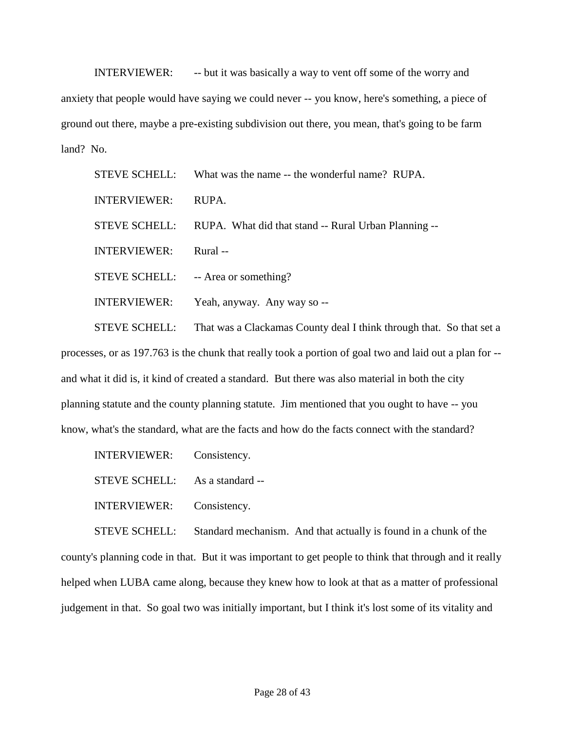INTERVIEWER: -- but it was basically a way to vent off some of the worry and anxiety that people would have saying we could never -- you know, here's something, a piece of ground out there, maybe a pre-existing subdivision out there, you mean, that's going to be farm land? No.

STEVE SCHELL: What was the name -- the wonderful name? RUPA. INTERVIEWER: RUPA. STEVE SCHELL: RUPA. What did that stand -- Rural Urban Planning -- INTERVIEWER: Rural -- STEVE SCHELL: -- Area or something? INTERVIEWER: Yeah, anyway. Any way so --

STEVE SCHELL: That was a Clackamas County deal I think through that. So that set a processes, or as 197.763 is the chunk that really took a portion of goal two and laid out a plan for - and what it did is, it kind of created a standard. But there was also material in both the city planning statute and the county planning statute. Jim mentioned that you ought to have -- you know, what's the standard, what are the facts and how do the facts connect with the standard?

INTERVIEWER: Consistency.

STEVE SCHELL: As a standard --

INTERVIEWER: Consistency.

STEVE SCHELL: Standard mechanism. And that actually is found in a chunk of the county's planning code in that. But it was important to get people to think that through and it really helped when LUBA came along, because they knew how to look at that as a matter of professional judgement in that. So goal two was initially important, but I think it's lost some of its vitality and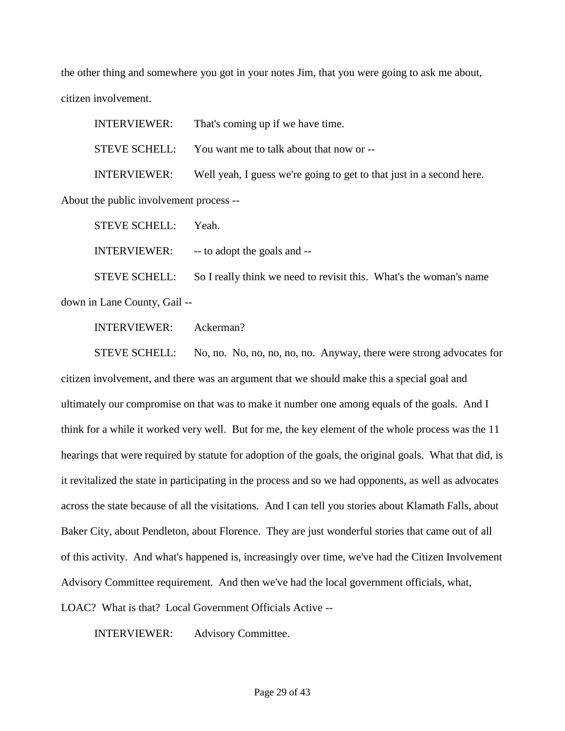the other thing and somewhere you got in your notes Jim, that you were going to ask me about, citizen involvement.

INTERVIEWER: That's coming up if we have time. STEVE SCHELL: You want me to talk about that now or -- INTERVIEWER: Well yeah, I guess we're going to get to that just in a second here.

About the public involvement process --

STEVE SCHELL: Yeah.

INTERVIEWER: -- to adopt the goals and --

STEVE SCHELL: So I really think we need to revisit this. What's the woman's name down in Lane County, Gail --

INTERVIEWER: Ackerman?

STEVE SCHELL: No, no. No, no, no, no, no. Anyway, there were strong advocates for citizen involvement, and there was an argument that we should make this a special goal and ultimately our compromise on that was to make it number one among equals of the goals. And I think for a while it worked very well. But for me, the key element of the whole process was the 11 hearings that were required by statute for adoption of the goals, the original goals. What that did, is it revitalized the state in participating in the process and so we had opponents, as well as advocates across the state because of all the visitations. And I can tell you stories about Klamath Falls, about Baker City, about Pendleton, about Florence. They are just wonderful stories that came out of all of this activity. And what's happened is, increasingly over time, we've had the Citizen Involvement Advisory Committee requirement. And then we've had the local government officials, what, LOAC? What is that? Local Government Officials Active --

INTERVIEWER: Advisory Committee.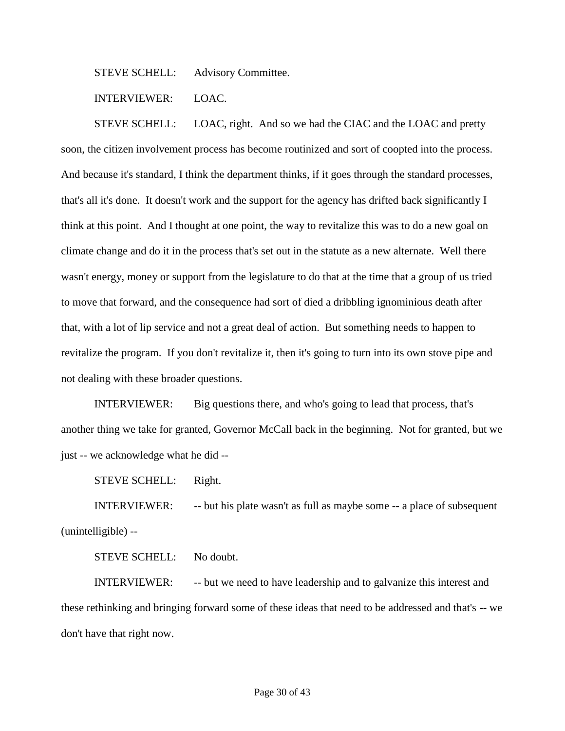STEVE SCHELL: Advisory Committee.

INTERVIEWER: LOAC.

STEVE SCHELL: LOAC, right. And so we had the CIAC and the LOAC and pretty soon, the citizen involvement process has become routinized and sort of coopted into the process. And because it's standard, I think the department thinks, if it goes through the standard processes, that's all it's done. It doesn't work and the support for the agency has drifted back significantly I think at this point. And I thought at one point, the way to revitalize this was to do a new goal on climate change and do it in the process that's set out in the statute as a new alternate. Well there wasn't energy, money or support from the legislature to do that at the time that a group of us tried to move that forward, and the consequence had sort of died a dribbling ignominious death after that, with a lot of lip service and not a great deal of action. But something needs to happen to revitalize the program. If you don't revitalize it, then it's going to turn into its own stove pipe and not dealing with these broader questions.

INTERVIEWER: Big questions there, and who's going to lead that process, that's another thing we take for granted, Governor McCall back in the beginning. Not for granted, but we just -- we acknowledge what he did --

STEVE SCHELL: Right.

INTERVIEWER: -- but his plate wasn't as full as maybe some -- a place of subsequent (unintelligible) --

STEVE SCHELL: No doubt.

INTERVIEWER: -- but we need to have leadership and to galvanize this interest and these rethinking and bringing forward some of these ideas that need to be addressed and that's -- we don't have that right now.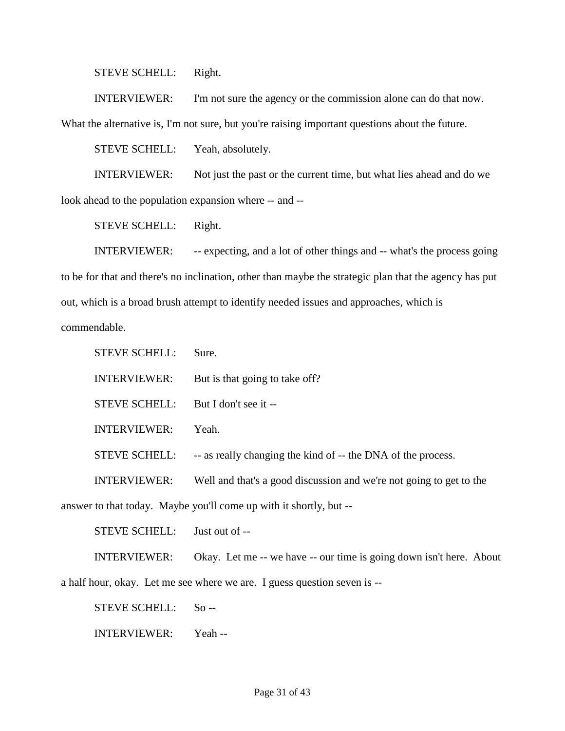STEVE SCHELL: Right.

INTERVIEWER: I'm not sure the agency or the commission alone can do that now. What the alternative is, I'm not sure, but you're raising important questions about the future.

STEVE SCHELL: Yeah, absolutely.

INTERVIEWER: Not just the past or the current time, but what lies ahead and do we look ahead to the population expansion where -- and --

STEVE SCHELL: Right.

INTERVIEWER: -- expecting, and a lot of other things and -- what's the process going to be for that and there's no inclination, other than maybe the strategic plan that the agency has put out, which is a broad brush attempt to identify needed issues and approaches, which is commendable.

STEVE SCHELL: Sure. INTERVIEWER: But is that going to take off? STEVE SCHELL: But I don't see it --INTERVIEWER: Yeah. STEVE SCHELL: -- as really changing the kind of -- the DNA of the process. INTERVIEWER: Well and that's a good discussion and we're not going to get to the answer to that today. Maybe you'll come up with it shortly, but --

STEVE SCHELL: Just out of --

INTERVIEWER: Okay. Let me -- we have -- our time is going down isn't here. About

a half hour, okay. Let me see where we are. I guess question seven is --

STEVE SCHELL: So --

INTERVIEWER: Yeah --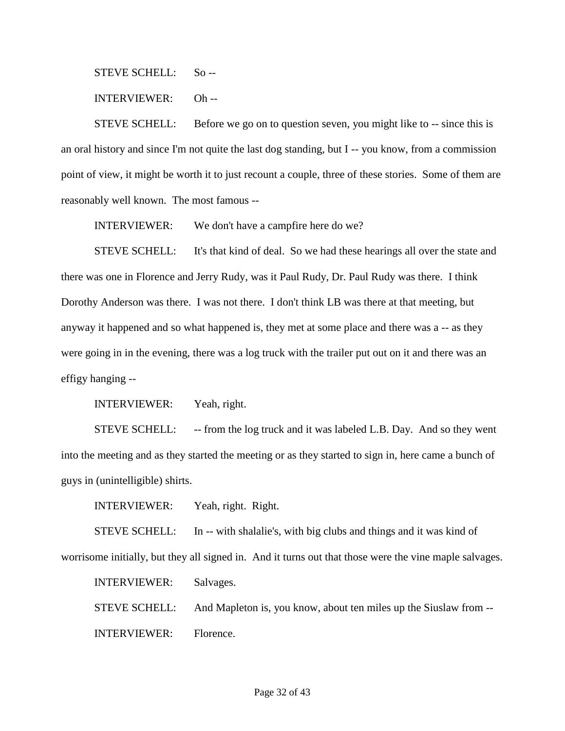STEVE SCHELL: So --

INTERVIEWER: Oh --

STEVE SCHELL: Before we go on to question seven, you might like to -- since this is an oral history and since I'm not quite the last dog standing, but I -- you know, from a commission point of view, it might be worth it to just recount a couple, three of these stories. Some of them are reasonably well known. The most famous --

INTERVIEWER: We don't have a campfire here do we?

STEVE SCHELL: It's that kind of deal. So we had these hearings all over the state and there was one in Florence and Jerry Rudy, was it Paul Rudy, Dr. Paul Rudy was there. I think Dorothy Anderson was there. I was not there. I don't think LB was there at that meeting, but anyway it happened and so what happened is, they met at some place and there was a -- as they were going in in the evening, there was a log truck with the trailer put out on it and there was an effigy hanging --

INTERVIEWER: Yeah, right.

STEVE SCHELL: -- from the log truck and it was labeled L.B. Day. And so they went into the meeting and as they started the meeting or as they started to sign in, here came a bunch of guys in (unintelligible) shirts.

INTERVIEWER: Yeah, right. Right.

STEVE SCHELL: In -- with shalalie's, with big clubs and things and it was kind of worrisome initially, but they all signed in. And it turns out that those were the vine maple salvages.

INTERVIEWER: Salvages.

STEVE SCHELL: And Mapleton is, you know, about ten miles up the Siuslaw from -- INTERVIEWER: Florence.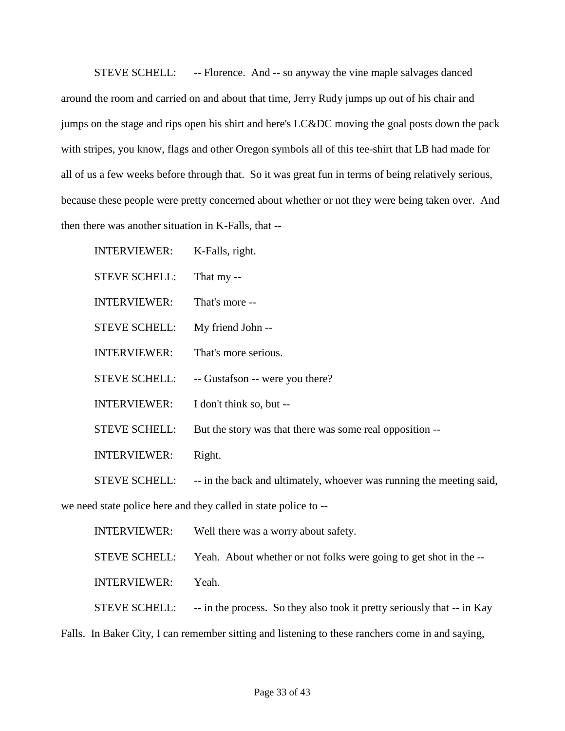STEVE SCHELL: -- Florence. And -- so anyway the vine maple salvages danced around the room and carried on and about that time, Jerry Rudy jumps up out of his chair and jumps on the stage and rips open his shirt and here's LC&DC moving the goal posts down the pack with stripes, you know, flags and other Oregon symbols all of this tee-shirt that LB had made for all of us a few weeks before through that. So it was great fun in terms of being relatively serious, because these people were pretty concerned about whether or not they were being taken over. And then there was another situation in K-Falls, that --

INTERVIEWER: K-Falls, right. STEVE SCHELL: That my -- INTERVIEWER: That's more -- STEVE SCHELL: My friend John -- INTERVIEWER: That's more serious. STEVE SCHELL: -- Gustafson -- were you there? INTERVIEWER: I don't think so, but -- STEVE SCHELL: But the story was that there was some real opposition -- INTERVIEWER: Right. STEVE SCHELL: -- in the back and ultimately, whoever was running the meeting said, we need state police here and they called in state police to --

INTERVIEWER: Well there was a worry about safety. STEVE SCHELL: Yeah. About whether or not folks were going to get shot in the -- INTERVIEWER: Yeah. STEVE SCHELL: -- in the process. So they also took it pretty seriously that -- in Kay

Falls. In Baker City, I can remember sitting and listening to these ranchers come in and saying,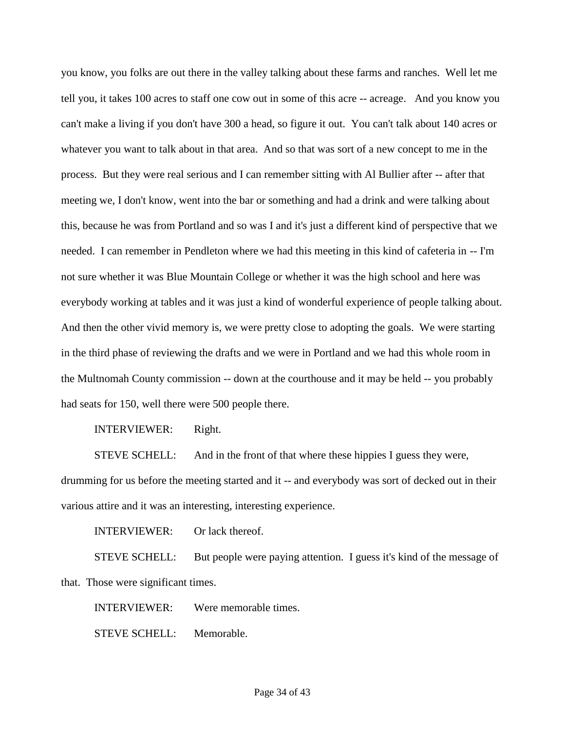you know, you folks are out there in the valley talking about these farms and ranches. Well let me tell you, it takes 100 acres to staff one cow out in some of this acre -- acreage. And you know you can't make a living if you don't have 300 a head, so figure it out. You can't talk about 140 acres or whatever you want to talk about in that area. And so that was sort of a new concept to me in the process. But they were real serious and I can remember sitting with Al Bullier after -- after that meeting we, I don't know, went into the bar or something and had a drink and were talking about this, because he was from Portland and so was I and it's just a different kind of perspective that we needed. I can remember in Pendleton where we had this meeting in this kind of cafeteria in -- I'm not sure whether it was Blue Mountain College or whether it was the high school and here was everybody working at tables and it was just a kind of wonderful experience of people talking about. And then the other vivid memory is, we were pretty close to adopting the goals. We were starting in the third phase of reviewing the drafts and we were in Portland and we had this whole room in the Multnomah County commission -- down at the courthouse and it may be held -- you probably had seats for 150, well there were 500 people there.

INTERVIEWER: Right.

STEVE SCHELL: And in the front of that where these hippies I guess they were, drumming for us before the meeting started and it -- and everybody was sort of decked out in their various attire and it was an interesting, interesting experience.

INTERVIEWER: Or lack thereof.

STEVE SCHELL: But people were paying attention. I guess it's kind of the message of that. Those were significant times.

INTERVIEWER: Were memorable times.

STEVE SCHELL: Memorable.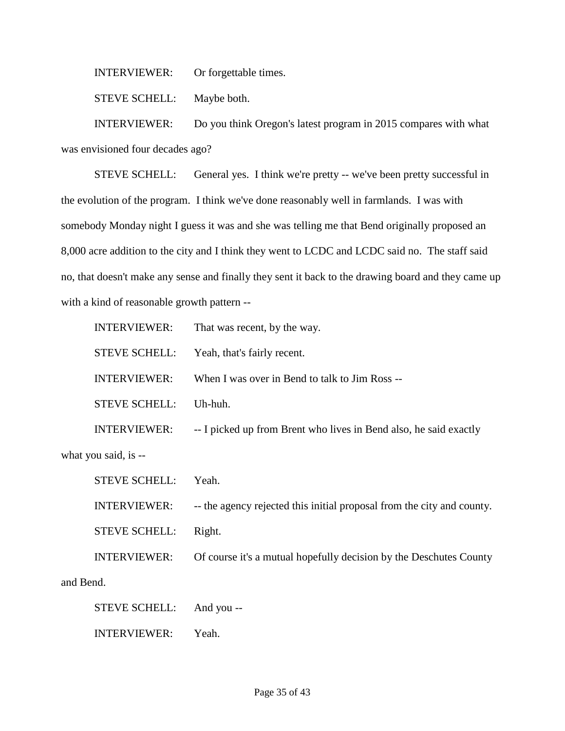INTERVIEWER: Or forgettable times.

STEVE SCHELL: Maybe both.

INTERVIEWER: Do you think Oregon's latest program in 2015 compares with what was envisioned four decades ago?

STEVE SCHELL: General yes. I think we're pretty -- we've been pretty successful in the evolution of the program. I think we've done reasonably well in farmlands. I was with somebody Monday night I guess it was and she was telling me that Bend originally proposed an 8,000 acre addition to the city and I think they went to LCDC and LCDC said no. The staff said no, that doesn't make any sense and finally they sent it back to the drawing board and they came up with a kind of reasonable growth pattern --

| <b>INTERVIEWER:</b>  | That was recent, by the way.                                      |
|----------------------|-------------------------------------------------------------------|
| <b>STEVE SCHELL:</b> | Yeah, that's fairly recent.                                       |
| <b>INTERVIEWER:</b>  | When I was over in Bend to talk to Jim Ross --                    |
| <b>STEVE SCHELL:</b> | $Uh$ -huh.                                                        |
| <b>INTERVIEWER:</b>  | -- I picked up from Brent who lives in Bend also, he said exactly |
| what you said, is -- |                                                                   |

STEVE SCHELL: Yeah. INTERVIEWER: -- the agency rejected this initial proposal from the city and county. STEVE SCHELL: Right. INTERVIEWER: Of course it's a mutual hopefully decision by the Deschutes County and Bend.

STEVE SCHELL: And you --

INTERVIEWER: Yeah.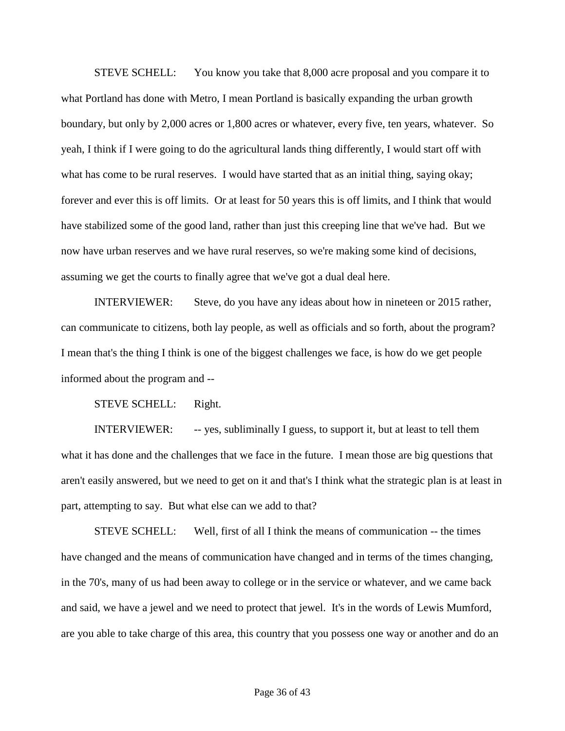STEVE SCHELL: You know you take that 8,000 acre proposal and you compare it to what Portland has done with Metro, I mean Portland is basically expanding the urban growth boundary, but only by 2,000 acres or 1,800 acres or whatever, every five, ten years, whatever. So yeah, I think if I were going to do the agricultural lands thing differently, I would start off with what has come to be rural reserves. I would have started that as an initial thing, saying okay; forever and ever this is off limits. Or at least for 50 years this is off limits, and I think that would have stabilized some of the good land, rather than just this creeping line that we've had. But we now have urban reserves and we have rural reserves, so we're making some kind of decisions, assuming we get the courts to finally agree that we've got a dual deal here.

INTERVIEWER: Steve, do you have any ideas about how in nineteen or 2015 rather, can communicate to citizens, both lay people, as well as officials and so forth, about the program? I mean that's the thing I think is one of the biggest challenges we face, is how do we get people informed about the program and --

STEVE SCHELL: Right.

INTERVIEWER: -- yes, subliminally I guess, to support it, but at least to tell them what it has done and the challenges that we face in the future. I mean those are big questions that aren't easily answered, but we need to get on it and that's I think what the strategic plan is at least in part, attempting to say. But what else can we add to that?

STEVE SCHELL: Well, first of all I think the means of communication -- the times have changed and the means of communication have changed and in terms of the times changing, in the 70's, many of us had been away to college or in the service or whatever, and we came back and said, we have a jewel and we need to protect that jewel. It's in the words of Lewis Mumford, are you able to take charge of this area, this country that you possess one way or another and do an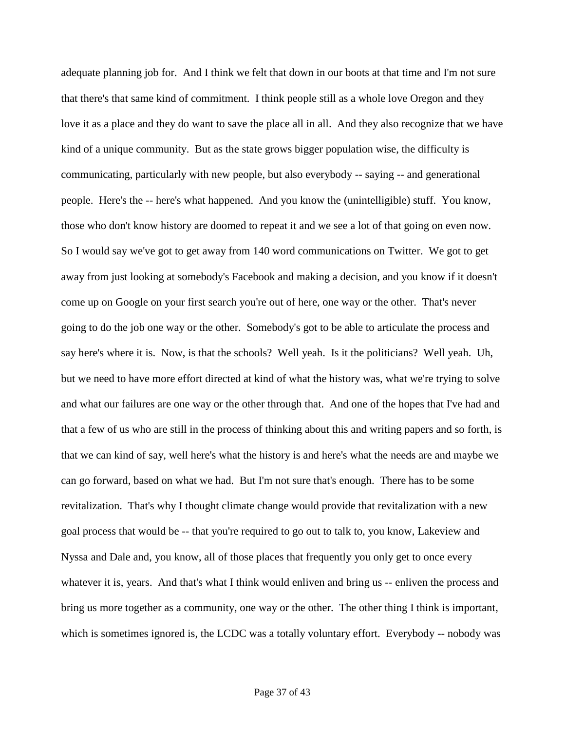adequate planning job for. And I think we felt that down in our boots at that time and I'm not sure that there's that same kind of commitment. I think people still as a whole love Oregon and they love it as a place and they do want to save the place all in all. And they also recognize that we have kind of a unique community. But as the state grows bigger population wise, the difficulty is communicating, particularly with new people, but also everybody -- saying -- and generational people. Here's the -- here's what happened. And you know the (unintelligible) stuff. You know, those who don't know history are doomed to repeat it and we see a lot of that going on even now. So I would say we've got to get away from 140 word communications on Twitter. We got to get away from just looking at somebody's Facebook and making a decision, and you know if it doesn't come up on Google on your first search you're out of here, one way or the other. That's never going to do the job one way or the other. Somebody's got to be able to articulate the process and say here's where it is. Now, is that the schools? Well yeah. Is it the politicians? Well yeah. Uh, but we need to have more effort directed at kind of what the history was, what we're trying to solve and what our failures are one way or the other through that. And one of the hopes that I've had and that a few of us who are still in the process of thinking about this and writing papers and so forth, is that we can kind of say, well here's what the history is and here's what the needs are and maybe we can go forward, based on what we had. But I'm not sure that's enough. There has to be some revitalization. That's why I thought climate change would provide that revitalization with a new goal process that would be -- that you're required to go out to talk to, you know, Lakeview and Nyssa and Dale and, you know, all of those places that frequently you only get to once every whatever it is, years. And that's what I think would enliven and bring us -- enliven the process and bring us more together as a community, one way or the other. The other thing I think is important, which is sometimes ignored is, the LCDC was a totally voluntary effort. Everybody -- nobody was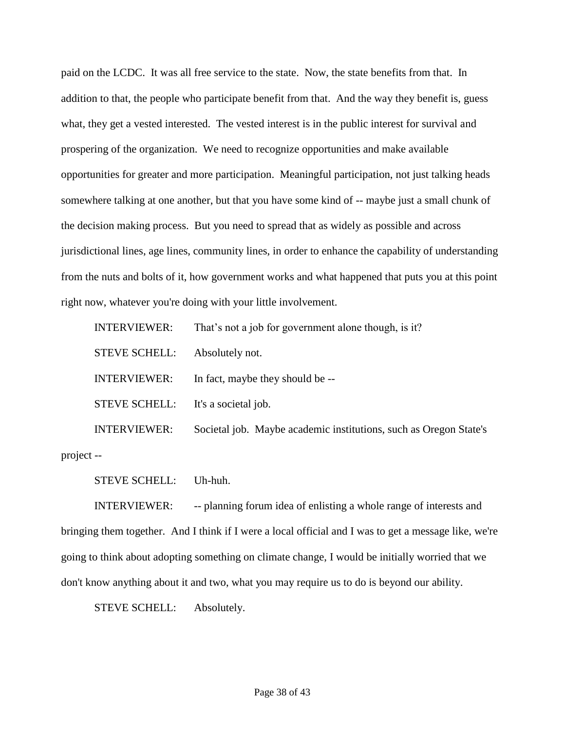paid on the LCDC. It was all free service to the state. Now, the state benefits from that. In addition to that, the people who participate benefit from that. And the way they benefit is, guess what, they get a vested interested. The vested interest is in the public interest for survival and prospering of the organization. We need to recognize opportunities and make available opportunities for greater and more participation. Meaningful participation, not just talking heads somewhere talking at one another, but that you have some kind of -- maybe just a small chunk of the decision making process. But you need to spread that as widely as possible and across jurisdictional lines, age lines, community lines, in order to enhance the capability of understanding from the nuts and bolts of it, how government works and what happened that puts you at this point right now, whatever you're doing with your little involvement.

| <b>INTERVIEWER:</b>  | That's not a job for government alone though, is it?              |
|----------------------|-------------------------------------------------------------------|
| <b>STEVE SCHELL:</b> | Absolutely not.                                                   |
| <b>INTERVIEWER:</b>  | In fact, maybe they should be --                                  |
| <b>STEVE SCHELL:</b> | It's a societal job.                                              |
| <b>INTERVIEWER:</b>  | Societal job. Maybe academic institutions, such as Oregon State's |
|                      |                                                                   |

project --

STEVE SCHELL: Uh-huh.

INTERVIEWER: -- planning forum idea of enlisting a whole range of interests and bringing them together. And I think if I were a local official and I was to get a message like, we're going to think about adopting something on climate change, I would be initially worried that we don't know anything about it and two, what you may require us to do is beyond our ability.

STEVE SCHELL: Absolutely.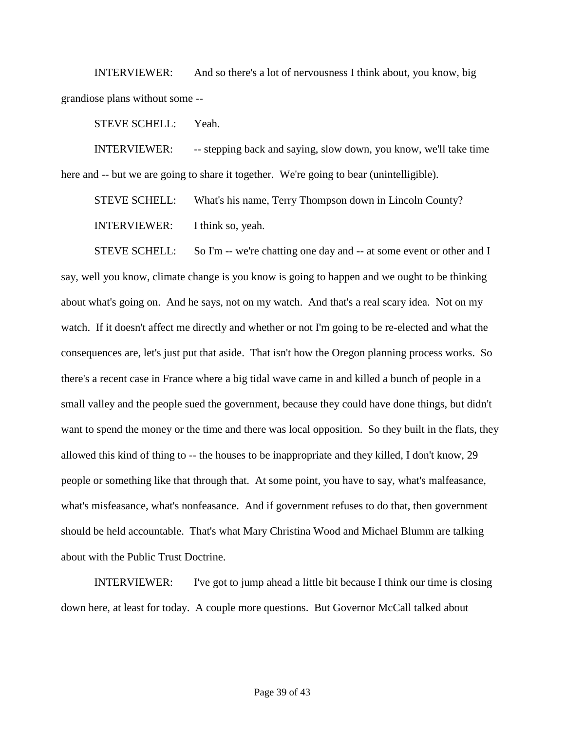INTERVIEWER: And so there's a lot of nervousness I think about, you know, big grandiose plans without some --

STEVE SCHELL: Yeah.

INTERVIEWER: -- stepping back and saying, slow down, you know, we'll take time here and  $-$  but we are going to share it together. We're going to bear (unintelligible).

STEVE SCHELL: What's his name, Terry Thompson down in Lincoln County? INTERVIEWER: I think so, yeah.

STEVE SCHELL: So I'm -- we're chatting one day and -- at some event or other and I say, well you know, climate change is you know is going to happen and we ought to be thinking about what's going on. And he says, not on my watch. And that's a real scary idea. Not on my watch. If it doesn't affect me directly and whether or not I'm going to be re-elected and what the consequences are, let's just put that aside. That isn't how the Oregon planning process works. So there's a recent case in France where a big tidal wave came in and killed a bunch of people in a small valley and the people sued the government, because they could have done things, but didn't want to spend the money or the time and there was local opposition. So they built in the flats, they allowed this kind of thing to -- the houses to be inappropriate and they killed, I don't know, 29 people or something like that through that. At some point, you have to say, what's malfeasance, what's misfeasance, what's nonfeasance. And if government refuses to do that, then government should be held accountable. That's what Mary Christina Wood and Michael Blumm are talking about with the Public Trust Doctrine.

INTERVIEWER: I've got to jump ahead a little bit because I think our time is closing down here, at least for today. A couple more questions. But Governor McCall talked about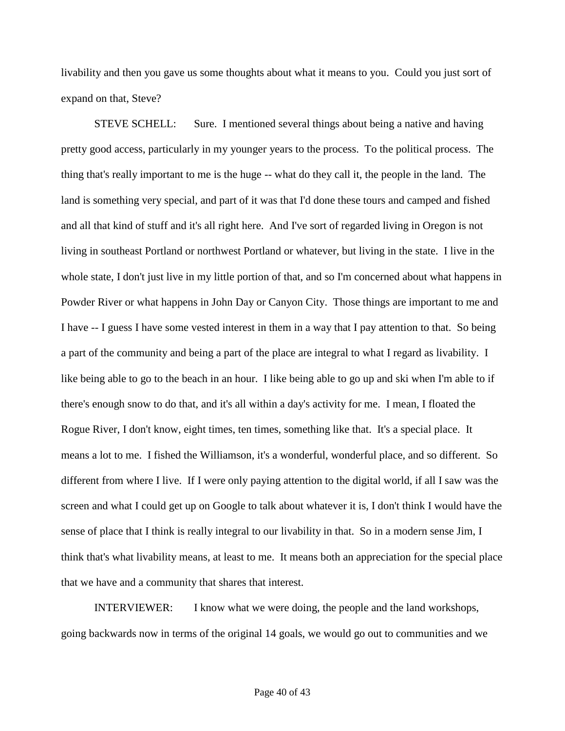livability and then you gave us some thoughts about what it means to you. Could you just sort of expand on that, Steve?

STEVE SCHELL: Sure. I mentioned several things about being a native and having pretty good access, particularly in my younger years to the process. To the political process. The thing that's really important to me is the huge -- what do they call it, the people in the land. The land is something very special, and part of it was that I'd done these tours and camped and fished and all that kind of stuff and it's all right here. And I've sort of regarded living in Oregon is not living in southeast Portland or northwest Portland or whatever, but living in the state. I live in the whole state, I don't just live in my little portion of that, and so I'm concerned about what happens in Powder River or what happens in John Day or Canyon City. Those things are important to me and I have -- I guess I have some vested interest in them in a way that I pay attention to that. So being a part of the community and being a part of the place are integral to what I regard as livability. I like being able to go to the beach in an hour. I like being able to go up and ski when I'm able to if there's enough snow to do that, and it's all within a day's activity for me. I mean, I floated the Rogue River, I don't know, eight times, ten times, something like that. It's a special place. It means a lot to me. I fished the Williamson, it's a wonderful, wonderful place, and so different. So different from where I live. If I were only paying attention to the digital world, if all I saw was the screen and what I could get up on Google to talk about whatever it is, I don't think I would have the sense of place that I think is really integral to our livability in that. So in a modern sense Jim, I think that's what livability means, at least to me. It means both an appreciation for the special place that we have and a community that shares that interest.

INTERVIEWER: I know what we were doing, the people and the land workshops, going backwards now in terms of the original 14 goals, we would go out to communities and we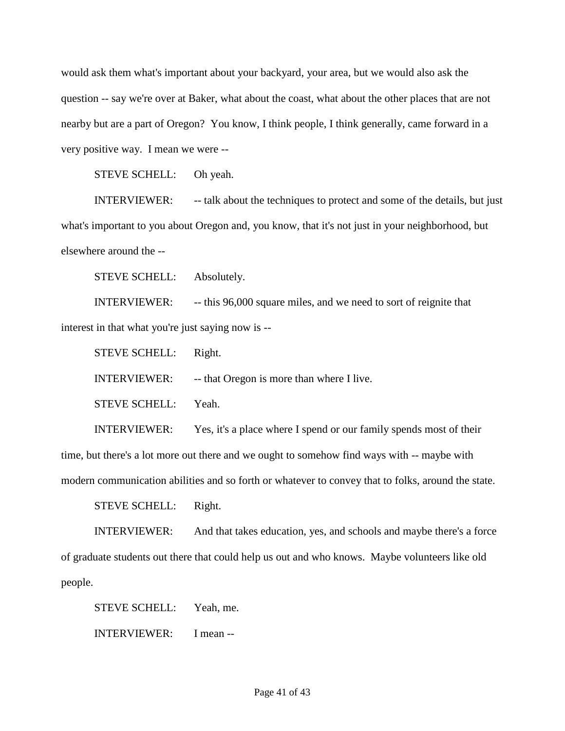would ask them what's important about your backyard, your area, but we would also ask the question -- say we're over at Baker, what about the coast, what about the other places that are not nearby but are a part of Oregon? You know, I think people, I think generally, came forward in a very positive way. I mean we were --

STEVE SCHELL: Oh yeah.

INTERVIEWER: -- talk about the techniques to protect and some of the details, but just what's important to you about Oregon and, you know, that it's not just in your neighborhood, but elsewhere around the --

STEVE SCHELL: Absolutely.

INTERVIEWER: -- this 96,000 square miles, and we need to sort of reignite that interest in that what you're just saying now is --

STEVE SCHELL: Right. INTERVIEWER: -- that Oregon is more than where I live. STEVE SCHELL: Yeah.

INTERVIEWER: Yes, it's a place where I spend or our family spends most of their time, but there's a lot more out there and we ought to somehow find ways with -- maybe with modern communication abilities and so forth or whatever to convey that to folks, around the state.

STEVE SCHELL: Right.

INTERVIEWER: And that takes education, yes, and schools and maybe there's a force of graduate students out there that could help us out and who knows. Maybe volunteers like old people.

STEVE SCHELL: Yeah, me.

INTERVIEWER: I mean --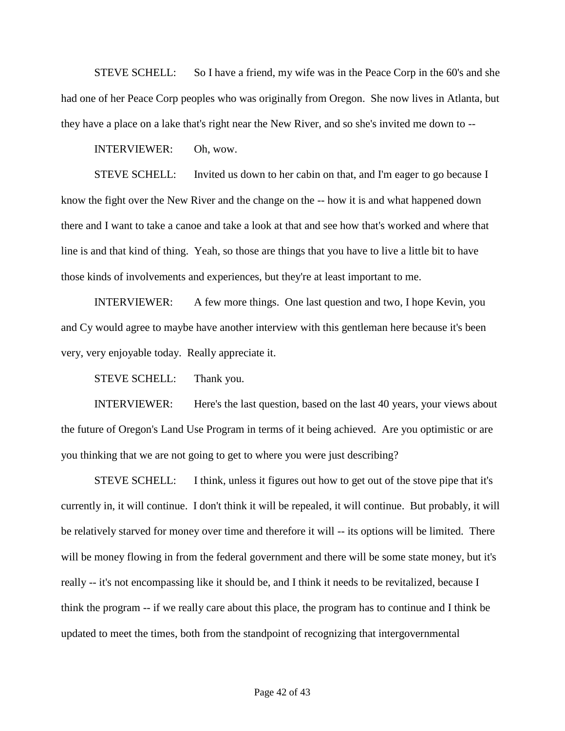STEVE SCHELL: So I have a friend, my wife was in the Peace Corp in the 60's and she had one of her Peace Corp peoples who was originally from Oregon. She now lives in Atlanta, but they have a place on a lake that's right near the New River, and so she's invited me down to --

INTERVIEWER: Oh, wow.

STEVE SCHELL: Invited us down to her cabin on that, and I'm eager to go because I know the fight over the New River and the change on the -- how it is and what happened down there and I want to take a canoe and take a look at that and see how that's worked and where that line is and that kind of thing. Yeah, so those are things that you have to live a little bit to have those kinds of involvements and experiences, but they're at least important to me.

INTERVIEWER: A few more things. One last question and two, I hope Kevin, you and Cy would agree to maybe have another interview with this gentleman here because it's been very, very enjoyable today. Really appreciate it.

STEVE SCHELL: Thank you.

INTERVIEWER: Here's the last question, based on the last 40 years, your views about the future of Oregon's Land Use Program in terms of it being achieved. Are you optimistic or are you thinking that we are not going to get to where you were just describing?

STEVE SCHELL: I think, unless it figures out how to get out of the stove pipe that it's currently in, it will continue. I don't think it will be repealed, it will continue. But probably, it will be relatively starved for money over time and therefore it will -- its options will be limited. There will be money flowing in from the federal government and there will be some state money, but it's really -- it's not encompassing like it should be, and I think it needs to be revitalized, because I think the program -- if we really care about this place, the program has to continue and I think be updated to meet the times, both from the standpoint of recognizing that intergovernmental